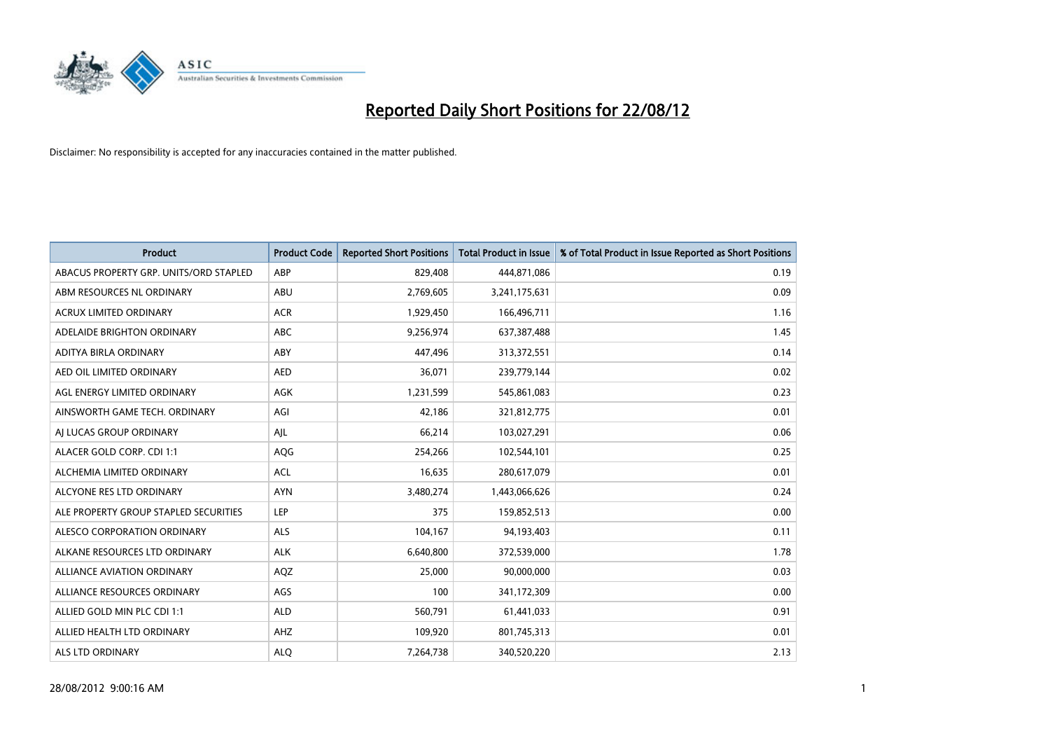

| <b>Product</b>                         | <b>Product Code</b> | <b>Reported Short Positions</b> | <b>Total Product in Issue</b> | % of Total Product in Issue Reported as Short Positions |
|----------------------------------------|---------------------|---------------------------------|-------------------------------|---------------------------------------------------------|
| ABACUS PROPERTY GRP. UNITS/ORD STAPLED | ABP                 | 829,408                         | 444,871,086                   | 0.19                                                    |
| ABM RESOURCES NL ORDINARY              | ABU                 | 2,769,605                       | 3,241,175,631                 | 0.09                                                    |
| <b>ACRUX LIMITED ORDINARY</b>          | <b>ACR</b>          | 1,929,450                       | 166,496,711                   | 1.16                                                    |
| ADELAIDE BRIGHTON ORDINARY             | <b>ABC</b>          | 9,256,974                       | 637,387,488                   | 1.45                                                    |
| ADITYA BIRLA ORDINARY                  | ABY                 | 447,496                         | 313,372,551                   | 0.14                                                    |
| AED OIL LIMITED ORDINARY               | <b>AED</b>          | 36,071                          | 239,779,144                   | 0.02                                                    |
| AGL ENERGY LIMITED ORDINARY            | AGK                 | 1,231,599                       | 545,861,083                   | 0.23                                                    |
| AINSWORTH GAME TECH. ORDINARY          | AGI                 | 42.186                          | 321,812,775                   | 0.01                                                    |
| AI LUCAS GROUP ORDINARY                | AJL                 | 66,214                          | 103,027,291                   | 0.06                                                    |
| ALACER GOLD CORP. CDI 1:1              | AQG                 | 254,266                         | 102,544,101                   | 0.25                                                    |
| ALCHEMIA LIMITED ORDINARY              | <b>ACL</b>          | 16,635                          | 280,617,079                   | 0.01                                                    |
| ALCYONE RES LTD ORDINARY               | <b>AYN</b>          | 3,480,274                       | 1,443,066,626                 | 0.24                                                    |
| ALE PROPERTY GROUP STAPLED SECURITIES  | LEP                 | 375                             | 159,852,513                   | 0.00                                                    |
| ALESCO CORPORATION ORDINARY            | <b>ALS</b>          | 104,167                         | 94,193,403                    | 0.11                                                    |
| ALKANE RESOURCES LTD ORDINARY          | <b>ALK</b>          | 6,640,800                       | 372,539,000                   | 1.78                                                    |
| ALLIANCE AVIATION ORDINARY             | AQZ                 | 25,000                          | 90,000,000                    | 0.03                                                    |
| ALLIANCE RESOURCES ORDINARY            | AGS                 | 100                             | 341,172,309                   | 0.00                                                    |
| ALLIED GOLD MIN PLC CDI 1:1            | <b>ALD</b>          | 560,791                         | 61,441,033                    | 0.91                                                    |
| ALLIED HEALTH LTD ORDINARY             | AHZ                 | 109,920                         | 801,745,313                   | 0.01                                                    |
| ALS LTD ORDINARY                       | <b>ALO</b>          | 7,264,738                       | 340,520,220                   | 2.13                                                    |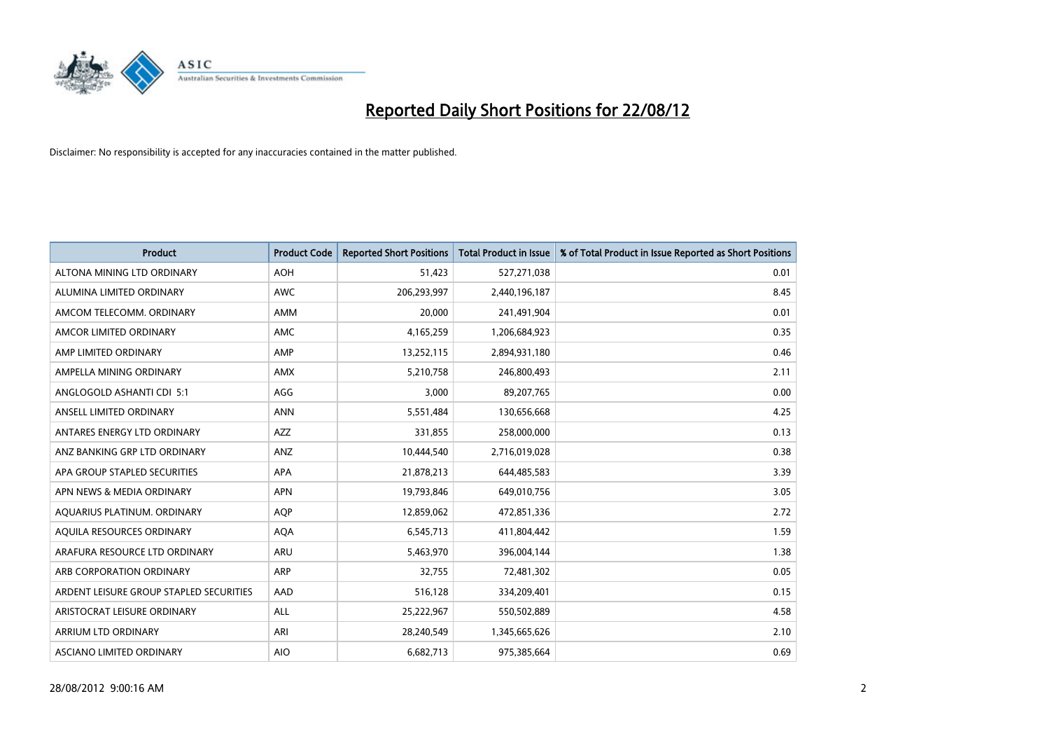

| <b>Product</b>                          | <b>Product Code</b> | <b>Reported Short Positions</b> | <b>Total Product in Issue</b> | % of Total Product in Issue Reported as Short Positions |
|-----------------------------------------|---------------------|---------------------------------|-------------------------------|---------------------------------------------------------|
| ALTONA MINING LTD ORDINARY              | <b>AOH</b>          | 51,423                          | 527,271,038                   | 0.01                                                    |
| ALUMINA LIMITED ORDINARY                | <b>AWC</b>          | 206,293,997                     | 2,440,196,187                 | 8.45                                                    |
| AMCOM TELECOMM, ORDINARY                | <b>AMM</b>          | 20,000                          | 241,491,904                   | 0.01                                                    |
| AMCOR LIMITED ORDINARY                  | <b>AMC</b>          | 4,165,259                       | 1,206,684,923                 | 0.35                                                    |
| AMP LIMITED ORDINARY                    | AMP                 | 13,252,115                      | 2,894,931,180                 | 0.46                                                    |
| AMPELLA MINING ORDINARY                 | <b>AMX</b>          | 5,210,758                       | 246,800,493                   | 2.11                                                    |
| ANGLOGOLD ASHANTI CDI 5:1               | AGG                 | 3,000                           | 89,207,765                    | 0.00                                                    |
| ANSELL LIMITED ORDINARY                 | <b>ANN</b>          | 5,551,484                       | 130,656,668                   | 4.25                                                    |
| ANTARES ENERGY LTD ORDINARY             | AZZ                 | 331,855                         | 258,000,000                   | 0.13                                                    |
| ANZ BANKING GRP LTD ORDINARY            | ANZ                 | 10,444,540                      | 2,716,019,028                 | 0.38                                                    |
| APA GROUP STAPLED SECURITIES            | <b>APA</b>          | 21,878,213                      | 644,485,583                   | 3.39                                                    |
| APN NEWS & MEDIA ORDINARY               | <b>APN</b>          | 19,793,846                      | 649,010,756                   | 3.05                                                    |
| AQUARIUS PLATINUM. ORDINARY             | AQP                 | 12,859,062                      | 472,851,336                   | 2.72                                                    |
| AQUILA RESOURCES ORDINARY               | <b>AQA</b>          | 6,545,713                       | 411,804,442                   | 1.59                                                    |
| ARAFURA RESOURCE LTD ORDINARY           | <b>ARU</b>          | 5,463,970                       | 396,004,144                   | 1.38                                                    |
| ARB CORPORATION ORDINARY                | <b>ARP</b>          | 32,755                          | 72,481,302                    | 0.05                                                    |
| ARDENT LEISURE GROUP STAPLED SECURITIES | AAD                 | 516,128                         | 334,209,401                   | 0.15                                                    |
| ARISTOCRAT LEISURE ORDINARY             | <b>ALL</b>          | 25,222,967                      | 550,502,889                   | 4.58                                                    |
| <b>ARRIUM LTD ORDINARY</b>              | ARI                 | 28,240,549                      | 1,345,665,626                 | 2.10                                                    |
| ASCIANO LIMITED ORDINARY                | <b>AIO</b>          | 6,682,713                       | 975,385,664                   | 0.69                                                    |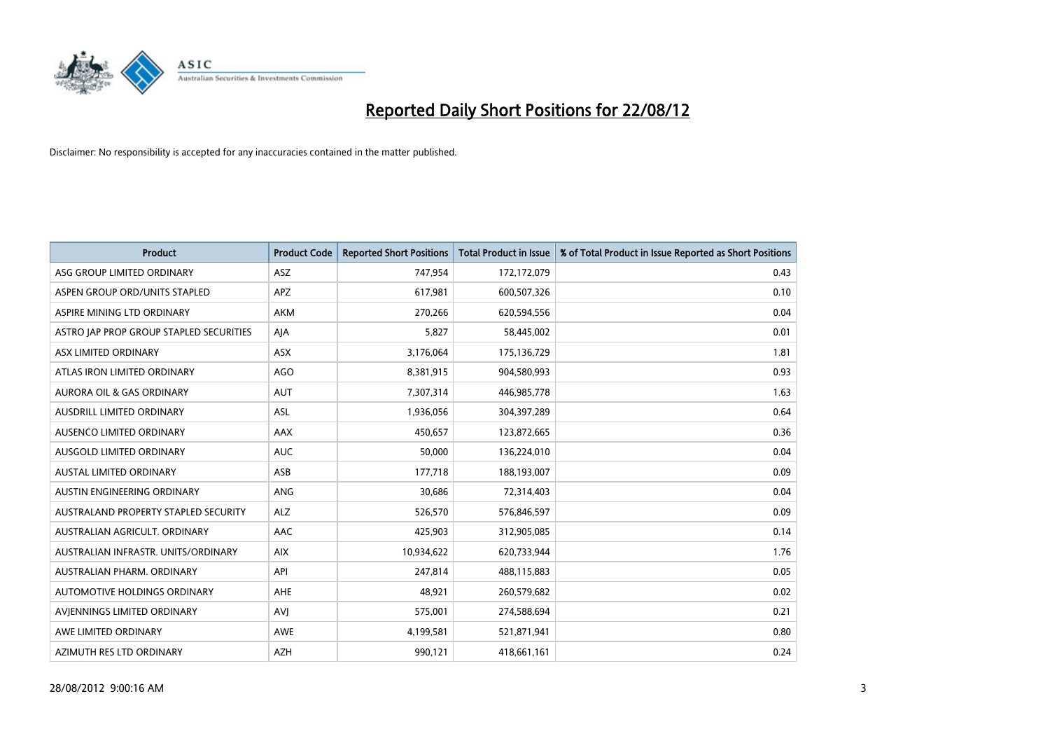

| <b>Product</b>                          | <b>Product Code</b> | <b>Reported Short Positions</b> | <b>Total Product in Issue</b> | % of Total Product in Issue Reported as Short Positions |
|-----------------------------------------|---------------------|---------------------------------|-------------------------------|---------------------------------------------------------|
| ASG GROUP LIMITED ORDINARY              | <b>ASZ</b>          | 747,954                         | 172,172,079                   | 0.43                                                    |
| ASPEN GROUP ORD/UNITS STAPLED           | <b>APZ</b>          | 617,981                         | 600,507,326                   | 0.10                                                    |
| ASPIRE MINING LTD ORDINARY              | <b>AKM</b>          | 270,266                         | 620,594,556                   | 0.04                                                    |
| ASTRO JAP PROP GROUP STAPLED SECURITIES | AJA                 | 5,827                           | 58,445,002                    | 0.01                                                    |
| ASX LIMITED ORDINARY                    | ASX                 | 3,176,064                       | 175,136,729                   | 1.81                                                    |
| ATLAS IRON LIMITED ORDINARY             | <b>AGO</b>          | 8,381,915                       | 904,580,993                   | 0.93                                                    |
| AURORA OIL & GAS ORDINARY               | <b>AUT</b>          | 7,307,314                       | 446,985,778                   | 1.63                                                    |
| AUSDRILL LIMITED ORDINARY               | ASL                 | 1,936,056                       | 304,397,289                   | 0.64                                                    |
| AUSENCO LIMITED ORDINARY                | AAX                 | 450.657                         | 123,872,665                   | 0.36                                                    |
| AUSGOLD LIMITED ORDINARY                | <b>AUC</b>          | 50,000                          | 136,224,010                   | 0.04                                                    |
| AUSTAL LIMITED ORDINARY                 | ASB                 | 177,718                         | 188,193,007                   | 0.09                                                    |
| <b>AUSTIN ENGINEERING ORDINARY</b>      | <b>ANG</b>          | 30,686                          | 72,314,403                    | 0.04                                                    |
| AUSTRALAND PROPERTY STAPLED SECURITY    | <b>ALZ</b>          | 526,570                         | 576,846,597                   | 0.09                                                    |
| AUSTRALIAN AGRICULT. ORDINARY           | AAC                 | 425,903                         | 312,905,085                   | 0.14                                                    |
| AUSTRALIAN INFRASTR, UNITS/ORDINARY     | <b>AIX</b>          | 10,934,622                      | 620,733,944                   | 1.76                                                    |
| AUSTRALIAN PHARM. ORDINARY              | API                 | 247,814                         | 488,115,883                   | 0.05                                                    |
| AUTOMOTIVE HOLDINGS ORDINARY            | AHE                 | 48,921                          | 260,579,682                   | 0.02                                                    |
| AVJENNINGS LIMITED ORDINARY             | <b>AVI</b>          | 575,001                         | 274,588,694                   | 0.21                                                    |
| AWE LIMITED ORDINARY                    | <b>AWE</b>          | 4,199,581                       | 521,871,941                   | 0.80                                                    |
| AZIMUTH RES LTD ORDINARY                | <b>AZH</b>          | 990,121                         | 418,661,161                   | 0.24                                                    |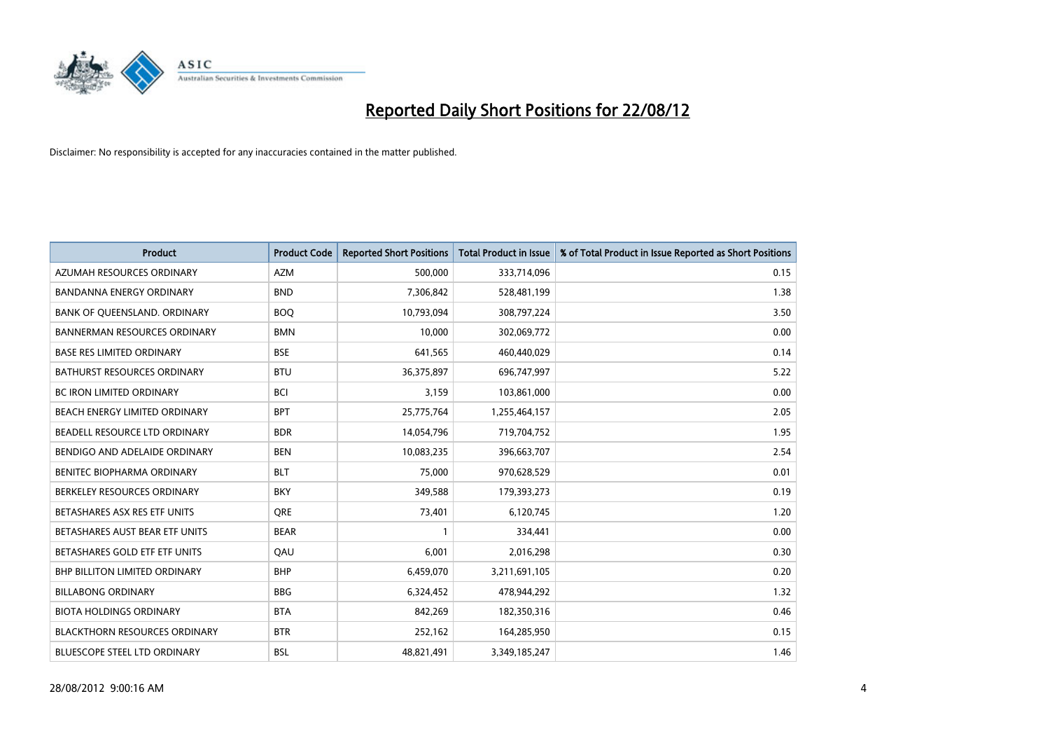

| <b>Product</b>                       | <b>Product Code</b> | <b>Reported Short Positions</b> | <b>Total Product in Issue</b> | % of Total Product in Issue Reported as Short Positions |
|--------------------------------------|---------------------|---------------------------------|-------------------------------|---------------------------------------------------------|
| AZUMAH RESOURCES ORDINARY            | <b>AZM</b>          | 500,000                         | 333,714,096                   | 0.15                                                    |
| BANDANNA ENERGY ORDINARY             | <b>BND</b>          | 7,306,842                       | 528,481,199                   | 1.38                                                    |
| BANK OF QUEENSLAND. ORDINARY         | <b>BOO</b>          | 10,793,094                      | 308,797,224                   | 3.50                                                    |
| <b>BANNERMAN RESOURCES ORDINARY</b>  | <b>BMN</b>          | 10,000                          | 302,069,772                   | 0.00                                                    |
| <b>BASE RES LIMITED ORDINARY</b>     | <b>BSE</b>          | 641,565                         | 460,440,029                   | 0.14                                                    |
| <b>BATHURST RESOURCES ORDINARY</b>   | <b>BTU</b>          | 36,375,897                      | 696,747,997                   | 5.22                                                    |
| <b>BC IRON LIMITED ORDINARY</b>      | <b>BCI</b>          | 3,159                           | 103,861,000                   | 0.00                                                    |
| <b>BEACH ENERGY LIMITED ORDINARY</b> | <b>BPT</b>          | 25,775,764                      | 1,255,464,157                 | 2.05                                                    |
| BEADELL RESOURCE LTD ORDINARY        | <b>BDR</b>          | 14,054,796                      | 719,704,752                   | 1.95                                                    |
| BENDIGO AND ADELAIDE ORDINARY        | <b>BEN</b>          | 10,083,235                      | 396,663,707                   | 2.54                                                    |
| BENITEC BIOPHARMA ORDINARY           | <b>BLT</b>          | 75,000                          | 970,628,529                   | 0.01                                                    |
| BERKELEY RESOURCES ORDINARY          | <b>BKY</b>          | 349,588                         | 179,393,273                   | 0.19                                                    |
| BETASHARES ASX RES ETF UNITS         | <b>ORE</b>          | 73,401                          | 6,120,745                     | 1.20                                                    |
| BETASHARES AUST BEAR ETF UNITS       | <b>BEAR</b>         |                                 | 334,441                       | 0.00                                                    |
| BETASHARES GOLD ETF ETF UNITS        | QAU                 | 6,001                           | 2,016,298                     | 0.30                                                    |
| <b>BHP BILLITON LIMITED ORDINARY</b> | <b>BHP</b>          | 6,459,070                       | 3,211,691,105                 | 0.20                                                    |
| <b>BILLABONG ORDINARY</b>            | <b>BBG</b>          | 6,324,452                       | 478,944,292                   | 1.32                                                    |
| <b>BIOTA HOLDINGS ORDINARY</b>       | <b>BTA</b>          | 842,269                         | 182,350,316                   | 0.46                                                    |
| <b>BLACKTHORN RESOURCES ORDINARY</b> | <b>BTR</b>          | 252,162                         | 164,285,950                   | 0.15                                                    |
| <b>BLUESCOPE STEEL LTD ORDINARY</b>  | <b>BSL</b>          | 48.821.491                      | 3,349,185,247                 | 1.46                                                    |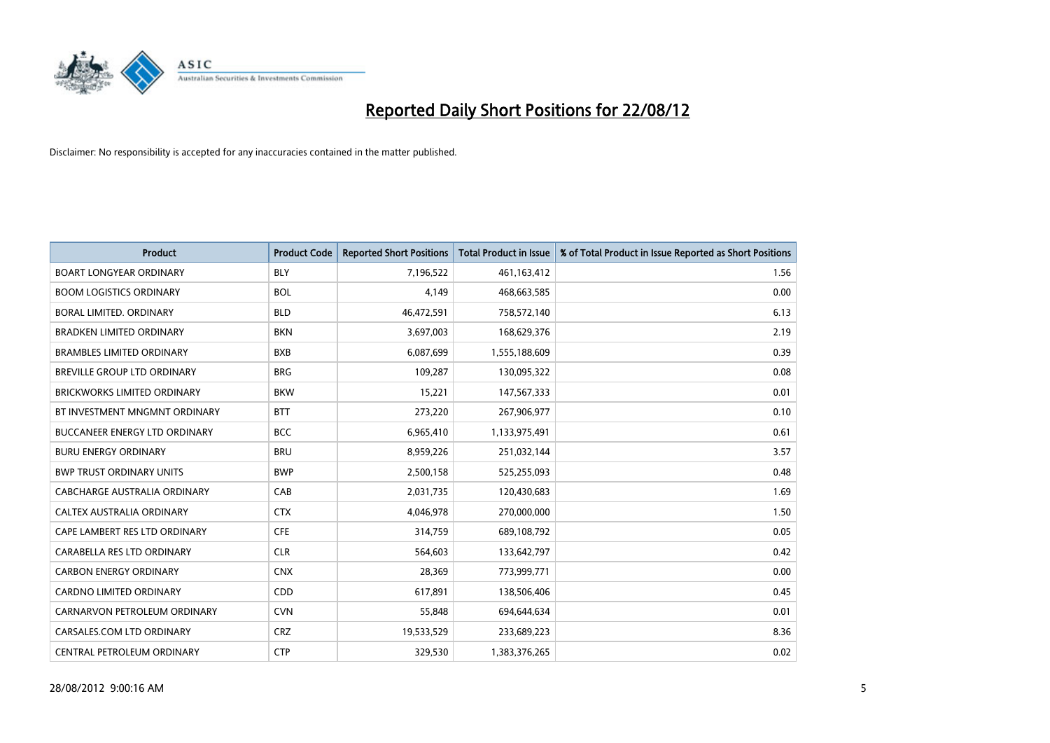

| <b>Product</b>                       | <b>Product Code</b> | <b>Reported Short Positions</b> | <b>Total Product in Issue</b> | % of Total Product in Issue Reported as Short Positions |
|--------------------------------------|---------------------|---------------------------------|-------------------------------|---------------------------------------------------------|
| <b>BOART LONGYEAR ORDINARY</b>       | <b>BLY</b>          | 7,196,522                       | 461,163,412                   | 1.56                                                    |
| <b>BOOM LOGISTICS ORDINARY</b>       | <b>BOL</b>          | 4.149                           | 468,663,585                   | 0.00                                                    |
| <b>BORAL LIMITED, ORDINARY</b>       | <b>BLD</b>          | 46,472,591                      | 758,572,140                   | 6.13                                                    |
| <b>BRADKEN LIMITED ORDINARY</b>      | <b>BKN</b>          | 3,697,003                       | 168,629,376                   | 2.19                                                    |
| <b>BRAMBLES LIMITED ORDINARY</b>     | <b>BXB</b>          | 6,087,699                       | 1,555,188,609                 | 0.39                                                    |
| BREVILLE GROUP LTD ORDINARY          | <b>BRG</b>          | 109,287                         | 130,095,322                   | 0.08                                                    |
| <b>BRICKWORKS LIMITED ORDINARY</b>   | <b>BKW</b>          | 15,221                          | 147,567,333                   | 0.01                                                    |
| BT INVESTMENT MNGMNT ORDINARY        | <b>BTT</b>          | 273,220                         | 267,906,977                   | 0.10                                                    |
| <b>BUCCANEER ENERGY LTD ORDINARY</b> | <b>BCC</b>          | 6,965,410                       | 1,133,975,491                 | 0.61                                                    |
| <b>BURU ENERGY ORDINARY</b>          | <b>BRU</b>          | 8,959,226                       | 251,032,144                   | 3.57                                                    |
| <b>BWP TRUST ORDINARY UNITS</b>      | <b>BWP</b>          | 2,500,158                       | 525,255,093                   | 0.48                                                    |
| CABCHARGE AUSTRALIA ORDINARY         | CAB                 | 2,031,735                       | 120,430,683                   | 1.69                                                    |
| CALTEX AUSTRALIA ORDINARY            | <b>CTX</b>          | 4,046,978                       | 270,000,000                   | 1.50                                                    |
| CAPE LAMBERT RES LTD ORDINARY        | <b>CFE</b>          | 314,759                         | 689,108,792                   | 0.05                                                    |
| CARABELLA RES LTD ORDINARY           | <b>CLR</b>          | 564,603                         | 133,642,797                   | 0.42                                                    |
| <b>CARBON ENERGY ORDINARY</b>        | <b>CNX</b>          | 28,369                          | 773,999,771                   | 0.00                                                    |
| <b>CARDNO LIMITED ORDINARY</b>       | CDD                 | 617,891                         | 138,506,406                   | 0.45                                                    |
| CARNARVON PETROLEUM ORDINARY         | <b>CVN</b>          | 55,848                          | 694,644,634                   | 0.01                                                    |
| CARSALES.COM LTD ORDINARY            | <b>CRZ</b>          | 19,533,529                      | 233,689,223                   | 8.36                                                    |
| CENTRAL PETROLEUM ORDINARY           | <b>CTP</b>          | 329.530                         | 1,383,376,265                 | 0.02                                                    |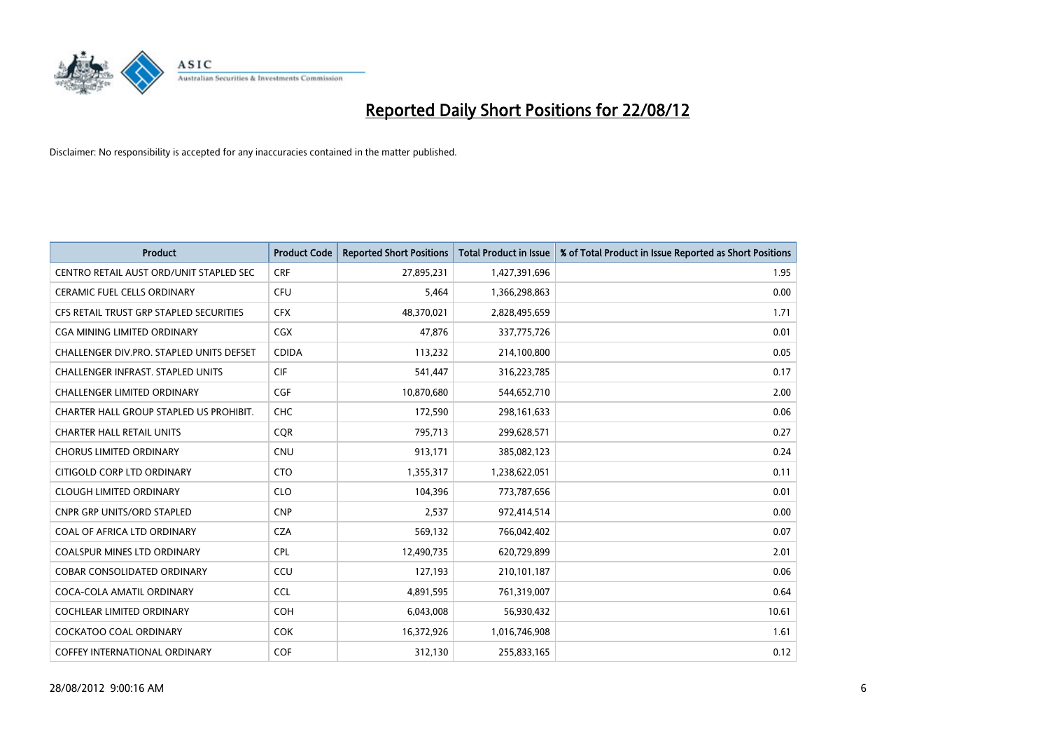

| <b>Product</b>                           | <b>Product Code</b> | <b>Reported Short Positions</b> | <b>Total Product in Issue</b> | % of Total Product in Issue Reported as Short Positions |
|------------------------------------------|---------------------|---------------------------------|-------------------------------|---------------------------------------------------------|
| CENTRO RETAIL AUST ORD/UNIT STAPLED SEC  | <b>CRF</b>          | 27,895,231                      | 1,427,391,696                 | 1.95                                                    |
| CERAMIC FUEL CELLS ORDINARY              | <b>CFU</b>          | 5,464                           | 1,366,298,863                 | 0.00                                                    |
| CFS RETAIL TRUST GRP STAPLED SECURITIES  | <b>CFX</b>          | 48,370,021                      | 2,828,495,659                 | 1.71                                                    |
| <b>CGA MINING LIMITED ORDINARY</b>       | <b>CGX</b>          | 47,876                          | 337,775,726                   | 0.01                                                    |
| CHALLENGER DIV.PRO. STAPLED UNITS DEFSET | <b>CDIDA</b>        | 113,232                         | 214,100,800                   | 0.05                                                    |
| <b>CHALLENGER INFRAST, STAPLED UNITS</b> | <b>CIF</b>          | 541,447                         | 316,223,785                   | 0.17                                                    |
| <b>CHALLENGER LIMITED ORDINARY</b>       | <b>CGF</b>          | 10,870,680                      | 544,652,710                   | 2.00                                                    |
| CHARTER HALL GROUP STAPLED US PROHIBIT.  | <b>CHC</b>          | 172,590                         | 298,161,633                   | 0.06                                                    |
| <b>CHARTER HALL RETAIL UNITS</b>         | <b>COR</b>          | 795,713                         | 299,628,571                   | 0.27                                                    |
| <b>CHORUS LIMITED ORDINARY</b>           | <b>CNU</b>          | 913,171                         | 385,082,123                   | 0.24                                                    |
| CITIGOLD CORP LTD ORDINARY               | <b>CTO</b>          | 1,355,317                       | 1,238,622,051                 | 0.11                                                    |
| <b>CLOUGH LIMITED ORDINARY</b>           | <b>CLO</b>          | 104,396                         | 773,787,656                   | 0.01                                                    |
| <b>CNPR GRP UNITS/ORD STAPLED</b>        | <b>CNP</b>          | 2,537                           | 972,414,514                   | 0.00                                                    |
| COAL OF AFRICA LTD ORDINARY              | <b>CZA</b>          | 569,132                         | 766,042,402                   | 0.07                                                    |
| <b>COALSPUR MINES LTD ORDINARY</b>       | <b>CPL</b>          | 12,490,735                      | 620,729,899                   | 2.01                                                    |
| <b>COBAR CONSOLIDATED ORDINARY</b>       | CCU                 | 127,193                         | 210,101,187                   | 0.06                                                    |
| COCA-COLA AMATIL ORDINARY                | <b>CCL</b>          | 4,891,595                       | 761,319,007                   | 0.64                                                    |
| COCHLEAR LIMITED ORDINARY                | <b>COH</b>          | 6,043,008                       | 56,930,432                    | 10.61                                                   |
| <b>COCKATOO COAL ORDINARY</b>            | <b>COK</b>          | 16,372,926                      | 1,016,746,908                 | 1.61                                                    |
| COFFEY INTERNATIONAL ORDINARY            | <b>COF</b>          | 312,130                         | 255,833,165                   | 0.12                                                    |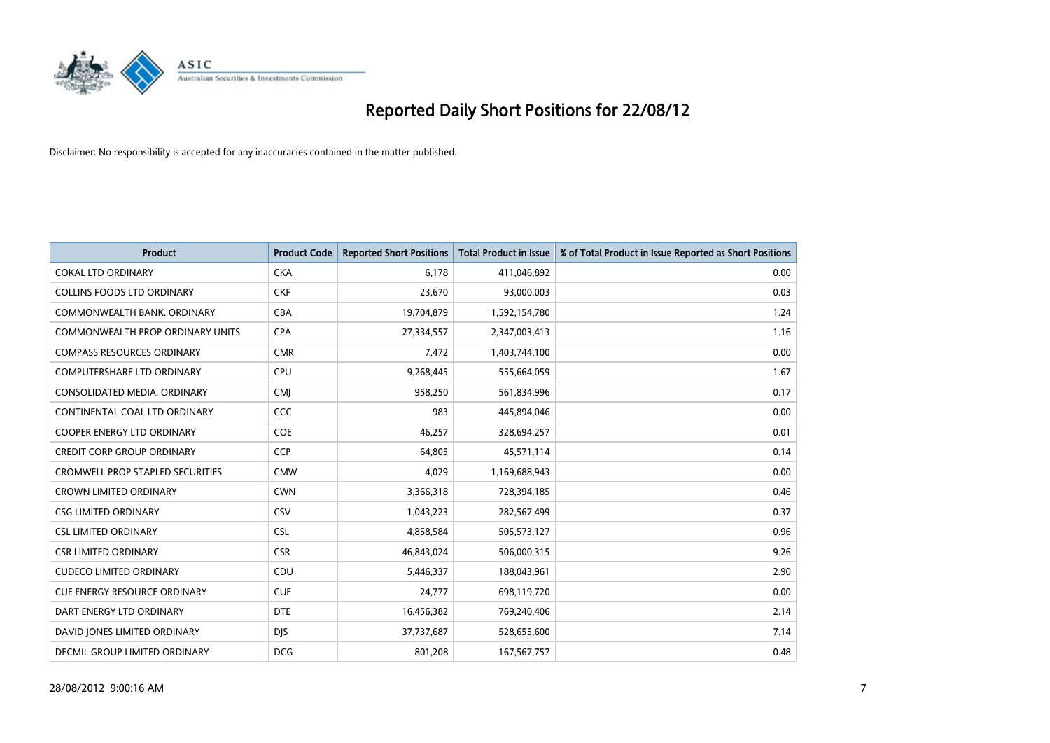

| <b>Product</b>                          | <b>Product Code</b> | <b>Reported Short Positions</b> | <b>Total Product in Issue</b> | % of Total Product in Issue Reported as Short Positions |
|-----------------------------------------|---------------------|---------------------------------|-------------------------------|---------------------------------------------------------|
| <b>COKAL LTD ORDINARY</b>               | <b>CKA</b>          | 6.178                           | 411,046,892                   | 0.00                                                    |
| <b>COLLINS FOODS LTD ORDINARY</b>       | <b>CKF</b>          | 23,670                          | 93,000,003                    | 0.03                                                    |
| COMMONWEALTH BANK, ORDINARY             | <b>CBA</b>          | 19,704,879                      | 1,592,154,780                 | 1.24                                                    |
| COMMONWEALTH PROP ORDINARY UNITS        | <b>CPA</b>          | 27,334,557                      | 2,347,003,413                 | 1.16                                                    |
| <b>COMPASS RESOURCES ORDINARY</b>       | <b>CMR</b>          | 7,472                           | 1,403,744,100                 | 0.00                                                    |
| <b>COMPUTERSHARE LTD ORDINARY</b>       | CPU                 | 9,268,445                       | 555,664,059                   | 1.67                                                    |
| CONSOLIDATED MEDIA. ORDINARY            | <b>CMI</b>          | 958,250                         | 561,834,996                   | 0.17                                                    |
| CONTINENTAL COAL LTD ORDINARY           | CCC                 | 983                             | 445,894,046                   | 0.00                                                    |
| COOPER ENERGY LTD ORDINARY              | <b>COE</b>          | 46,257                          | 328,694,257                   | 0.01                                                    |
| <b>CREDIT CORP GROUP ORDINARY</b>       | <b>CCP</b>          | 64,805                          | 45,571,114                    | 0.14                                                    |
| <b>CROMWELL PROP STAPLED SECURITIES</b> | <b>CMW</b>          | 4,029                           | 1,169,688,943                 | 0.00                                                    |
| <b>CROWN LIMITED ORDINARY</b>           | <b>CWN</b>          | 3,366,318                       | 728,394,185                   | 0.46                                                    |
| <b>CSG LIMITED ORDINARY</b>             | CSV                 | 1,043,223                       | 282,567,499                   | 0.37                                                    |
| <b>CSL LIMITED ORDINARY</b>             | <b>CSL</b>          | 4,858,584                       | 505,573,127                   | 0.96                                                    |
| <b>CSR LIMITED ORDINARY</b>             | <b>CSR</b>          | 46,843,024                      | 506,000,315                   | 9.26                                                    |
| <b>CUDECO LIMITED ORDINARY</b>          | CDU                 | 5,446,337                       | 188,043,961                   | 2.90                                                    |
| <b>CUE ENERGY RESOURCE ORDINARY</b>     | <b>CUE</b>          | 24,777                          | 698,119,720                   | 0.00                                                    |
| DART ENERGY LTD ORDINARY                | <b>DTE</b>          | 16,456,382                      | 769,240,406                   | 2.14                                                    |
| DAVID JONES LIMITED ORDINARY            | <b>DIS</b>          | 37,737,687                      | 528,655,600                   | 7.14                                                    |
| DECMIL GROUP LIMITED ORDINARY           | <b>DCG</b>          | 801,208                         | 167,567,757                   | 0.48                                                    |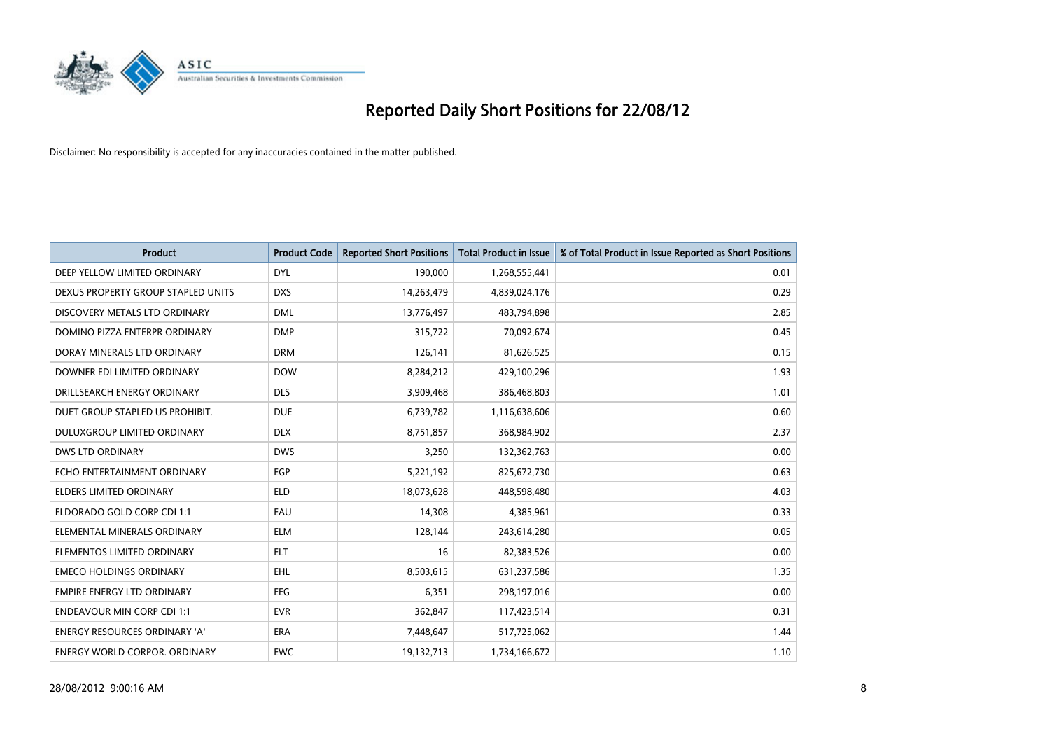

| <b>Product</b>                       | <b>Product Code</b> | <b>Reported Short Positions</b> | <b>Total Product in Issue</b> | % of Total Product in Issue Reported as Short Positions |
|--------------------------------------|---------------------|---------------------------------|-------------------------------|---------------------------------------------------------|
| DEEP YELLOW LIMITED ORDINARY         | <b>DYL</b>          | 190,000                         | 1,268,555,441                 | 0.01                                                    |
| DEXUS PROPERTY GROUP STAPLED UNITS   | <b>DXS</b>          | 14,263,479                      | 4,839,024,176                 | 0.29                                                    |
| DISCOVERY METALS LTD ORDINARY        | <b>DML</b>          | 13,776,497                      | 483,794,898                   | 2.85                                                    |
| DOMINO PIZZA ENTERPR ORDINARY        | <b>DMP</b>          | 315,722                         | 70,092,674                    | 0.45                                                    |
| DORAY MINERALS LTD ORDINARY          | <b>DRM</b>          | 126,141                         | 81,626,525                    | 0.15                                                    |
| DOWNER EDI LIMITED ORDINARY          | <b>DOW</b>          | 8,284,212                       | 429,100,296                   | 1.93                                                    |
| DRILLSEARCH ENERGY ORDINARY          | <b>DLS</b>          | 3,909,468                       | 386,468,803                   | 1.01                                                    |
| DUET GROUP STAPLED US PROHIBIT.      | <b>DUE</b>          | 6,739,782                       | 1,116,638,606                 | 0.60                                                    |
| DULUXGROUP LIMITED ORDINARY          | <b>DLX</b>          | 8,751,857                       | 368,984,902                   | 2.37                                                    |
| <b>DWS LTD ORDINARY</b>              | <b>DWS</b>          | 3,250                           | 132,362,763                   | 0.00                                                    |
| ECHO ENTERTAINMENT ORDINARY          | EGP                 | 5,221,192                       | 825,672,730                   | 0.63                                                    |
| <b>ELDERS LIMITED ORDINARY</b>       | <b>ELD</b>          | 18,073,628                      | 448,598,480                   | 4.03                                                    |
| ELDORADO GOLD CORP CDI 1:1           | EAU                 | 14,308                          | 4,385,961                     | 0.33                                                    |
| ELEMENTAL MINERALS ORDINARY          | <b>ELM</b>          | 128,144                         | 243,614,280                   | 0.05                                                    |
| ELEMENTOS LIMITED ORDINARY           | <b>ELT</b>          | 16                              | 82,383,526                    | 0.00                                                    |
| <b>EMECO HOLDINGS ORDINARY</b>       | <b>EHL</b>          | 8,503,615                       | 631,237,586                   | 1.35                                                    |
| <b>EMPIRE ENERGY LTD ORDINARY</b>    | EEG                 | 6,351                           | 298,197,016                   | 0.00                                                    |
| <b>ENDEAVOUR MIN CORP CDI 1:1</b>    | <b>EVR</b>          | 362,847                         | 117,423,514                   | 0.31                                                    |
| <b>ENERGY RESOURCES ORDINARY 'A'</b> | <b>ERA</b>          | 7,448,647                       | 517,725,062                   | 1.44                                                    |
| <b>ENERGY WORLD CORPOR, ORDINARY</b> | <b>EWC</b>          | 19,132,713                      | 1,734,166,672                 | 1.10                                                    |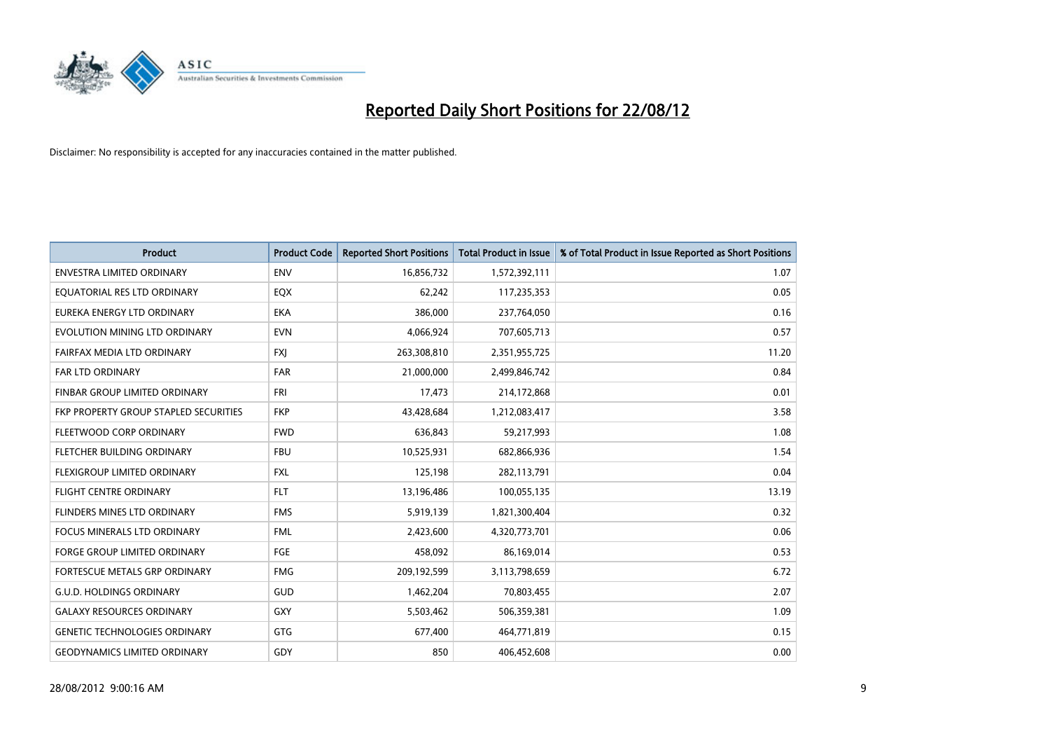

| <b>Product</b>                        | <b>Product Code</b> | <b>Reported Short Positions</b> | <b>Total Product in Issue</b> | % of Total Product in Issue Reported as Short Positions |
|---------------------------------------|---------------------|---------------------------------|-------------------------------|---------------------------------------------------------|
| <b>ENVESTRA LIMITED ORDINARY</b>      | <b>ENV</b>          | 16,856,732                      | 1,572,392,111                 | 1.07                                                    |
| EQUATORIAL RES LTD ORDINARY           | EQX                 | 62,242                          | 117,235,353                   | 0.05                                                    |
| EUREKA ENERGY LTD ORDINARY            | <b>EKA</b>          | 386,000                         | 237,764,050                   | 0.16                                                    |
| EVOLUTION MINING LTD ORDINARY         | <b>EVN</b>          | 4,066,924                       | 707,605,713                   | 0.57                                                    |
| FAIRFAX MEDIA LTD ORDINARY            | <b>FXI</b>          | 263,308,810                     | 2,351,955,725                 | 11.20                                                   |
| <b>FAR LTD ORDINARY</b>               | <b>FAR</b>          | 21,000,000                      | 2,499,846,742                 | 0.84                                                    |
| FINBAR GROUP LIMITED ORDINARY         | <b>FRI</b>          | 17,473                          | 214,172,868                   | 0.01                                                    |
| FKP PROPERTY GROUP STAPLED SECURITIES | <b>FKP</b>          | 43,428,684                      | 1,212,083,417                 | 3.58                                                    |
| FLEETWOOD CORP ORDINARY               | <b>FWD</b>          | 636.843                         | 59,217,993                    | 1.08                                                    |
| FLETCHER BUILDING ORDINARY            | <b>FBU</b>          | 10,525,931                      | 682,866,936                   | 1.54                                                    |
| FLEXIGROUP LIMITED ORDINARY           | <b>FXL</b>          | 125,198                         | 282,113,791                   | 0.04                                                    |
| <b>FLIGHT CENTRE ORDINARY</b>         | <b>FLT</b>          | 13,196,486                      | 100,055,135                   | 13.19                                                   |
| FLINDERS MINES LTD ORDINARY           | <b>FMS</b>          | 5,919,139                       | 1,821,300,404                 | 0.32                                                    |
| <b>FOCUS MINERALS LTD ORDINARY</b>    | <b>FML</b>          | 2,423,600                       | 4,320,773,701                 | 0.06                                                    |
| <b>FORGE GROUP LIMITED ORDINARY</b>   | FGE                 | 458,092                         | 86,169,014                    | 0.53                                                    |
| <b>FORTESCUE METALS GRP ORDINARY</b>  | <b>FMG</b>          | 209,192,599                     | 3,113,798,659                 | 6.72                                                    |
| <b>G.U.D. HOLDINGS ORDINARY</b>       | <b>GUD</b>          | 1,462,204                       | 70,803,455                    | 2.07                                                    |
| <b>GALAXY RESOURCES ORDINARY</b>      | <b>GXY</b>          | 5,503,462                       | 506,359,381                   | 1.09                                                    |
| <b>GENETIC TECHNOLOGIES ORDINARY</b>  | GTG                 | 677,400                         | 464,771,819                   | 0.15                                                    |
| <b>GEODYNAMICS LIMITED ORDINARY</b>   | GDY                 | 850                             | 406,452,608                   | 0.00                                                    |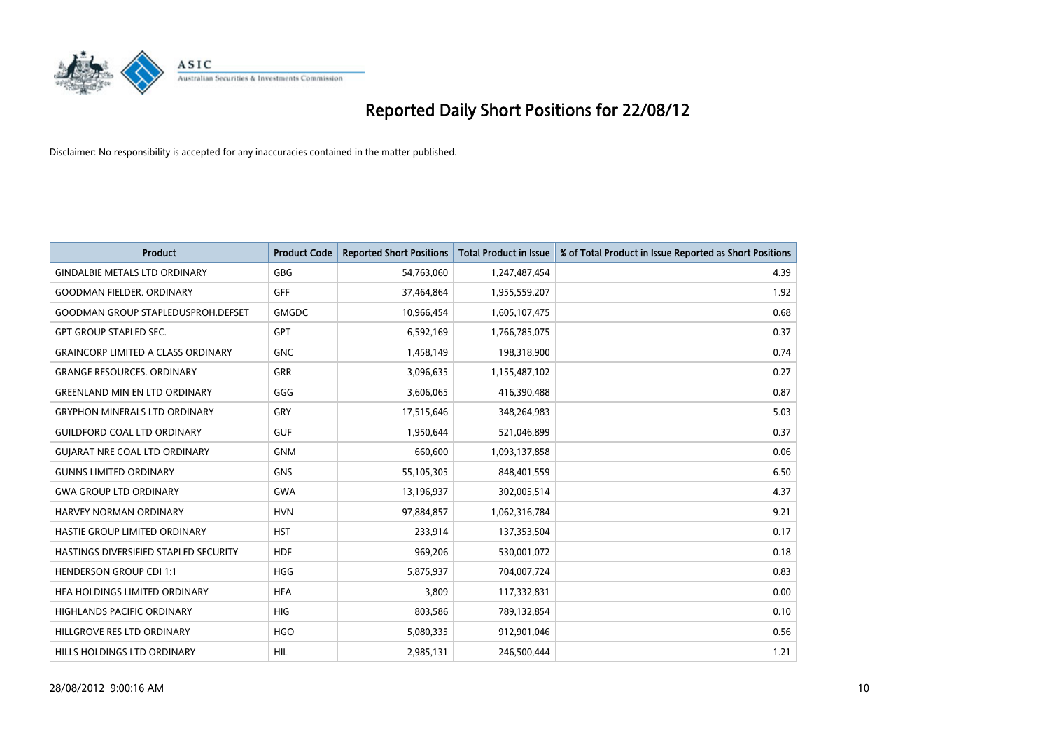

| <b>Product</b>                            | <b>Product Code</b> | <b>Reported Short Positions</b> | <b>Total Product in Issue</b> | % of Total Product in Issue Reported as Short Positions |
|-------------------------------------------|---------------------|---------------------------------|-------------------------------|---------------------------------------------------------|
| <b>GINDALBIE METALS LTD ORDINARY</b>      | <b>GBG</b>          | 54,763,060                      | 1,247,487,454                 | 4.39                                                    |
| <b>GOODMAN FIELDER, ORDINARY</b>          | <b>GFF</b>          | 37,464,864                      | 1,955,559,207                 | 1.92                                                    |
| <b>GOODMAN GROUP STAPLEDUSPROH.DEFSET</b> | <b>GMGDC</b>        | 10,966,454                      | 1,605,107,475                 | 0.68                                                    |
| <b>GPT GROUP STAPLED SEC.</b>             | <b>GPT</b>          | 6,592,169                       | 1,766,785,075                 | 0.37                                                    |
| <b>GRAINCORP LIMITED A CLASS ORDINARY</b> | <b>GNC</b>          | 1,458,149                       | 198,318,900                   | 0.74                                                    |
| <b>GRANGE RESOURCES, ORDINARY</b>         | <b>GRR</b>          | 3,096,635                       | 1,155,487,102                 | 0.27                                                    |
| <b>GREENLAND MIN EN LTD ORDINARY</b>      | GGG                 | 3,606,065                       | 416,390,488                   | 0.87                                                    |
| <b>GRYPHON MINERALS LTD ORDINARY</b>      | GRY                 | 17,515,646                      | 348,264,983                   | 5.03                                                    |
| <b>GUILDFORD COAL LTD ORDINARY</b>        | <b>GUF</b>          | 1,950,644                       | 521,046,899                   | 0.37                                                    |
| <b>GUIARAT NRE COAL LTD ORDINARY</b>      | <b>GNM</b>          | 660,600                         | 1,093,137,858                 | 0.06                                                    |
| <b>GUNNS LIMITED ORDINARY</b>             | <b>GNS</b>          | 55,105,305                      | 848,401,559                   | 6.50                                                    |
| <b>GWA GROUP LTD ORDINARY</b>             | <b>GWA</b>          | 13,196,937                      | 302,005,514                   | 4.37                                                    |
| HARVEY NORMAN ORDINARY                    | <b>HVN</b>          | 97,884,857                      | 1,062,316,784                 | 9.21                                                    |
| HASTIE GROUP LIMITED ORDINARY             | <b>HST</b>          | 233,914                         | 137,353,504                   | 0.17                                                    |
| HASTINGS DIVERSIFIED STAPLED SECURITY     | <b>HDF</b>          | 969,206                         | 530,001,072                   | 0.18                                                    |
| <b>HENDERSON GROUP CDI 1:1</b>            | <b>HGG</b>          | 5,875,937                       | 704,007,724                   | 0.83                                                    |
| HFA HOLDINGS LIMITED ORDINARY             | <b>HFA</b>          | 3,809                           | 117,332,831                   | 0.00                                                    |
| HIGHLANDS PACIFIC ORDINARY                | <b>HIG</b>          | 803,586                         | 789,132,854                   | 0.10                                                    |
| HILLGROVE RES LTD ORDINARY                | <b>HGO</b>          | 5,080,335                       | 912,901,046                   | 0.56                                                    |
| HILLS HOLDINGS LTD ORDINARY               | <b>HIL</b>          | 2.985.131                       | 246,500,444                   | 1.21                                                    |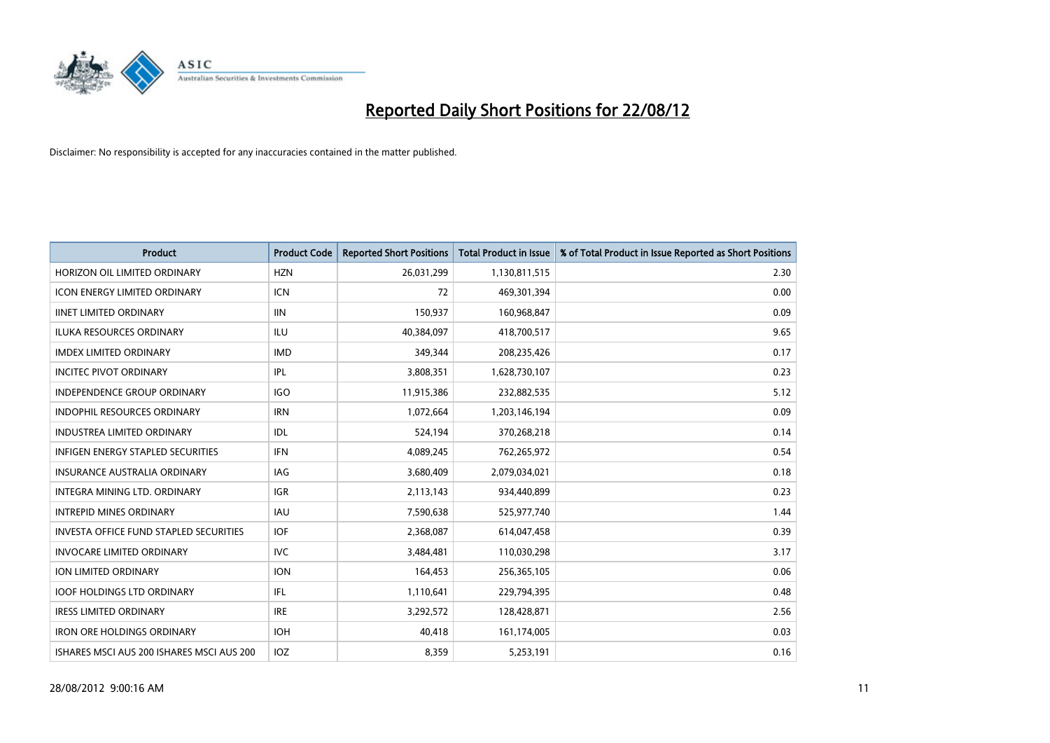

| <b>Product</b>                                | <b>Product Code</b> | <b>Reported Short Positions</b> | <b>Total Product in Issue</b> | % of Total Product in Issue Reported as Short Positions |
|-----------------------------------------------|---------------------|---------------------------------|-------------------------------|---------------------------------------------------------|
| HORIZON OIL LIMITED ORDINARY                  | <b>HZN</b>          | 26,031,299                      | 1,130,811,515                 | 2.30                                                    |
| <b>ICON ENERGY LIMITED ORDINARY</b>           | <b>ICN</b>          | 72                              | 469,301,394                   | 0.00                                                    |
| <b>IINET LIMITED ORDINARY</b>                 | <b>IIN</b>          | 150,937                         | 160,968,847                   | 0.09                                                    |
| ILUKA RESOURCES ORDINARY                      | ILU                 | 40,384,097                      | 418,700,517                   | 9.65                                                    |
| <b>IMDEX LIMITED ORDINARY</b>                 | <b>IMD</b>          | 349,344                         | 208,235,426                   | 0.17                                                    |
| <b>INCITEC PIVOT ORDINARY</b>                 | IPL                 | 3,808,351                       | 1,628,730,107                 | 0.23                                                    |
| <b>INDEPENDENCE GROUP ORDINARY</b>            | <b>IGO</b>          | 11,915,386                      | 232,882,535                   | 5.12                                                    |
| <b>INDOPHIL RESOURCES ORDINARY</b>            | <b>IRN</b>          | 1,072,664                       | 1,203,146,194                 | 0.09                                                    |
| INDUSTREA LIMITED ORDINARY                    | IDL                 | 524,194                         | 370,268,218                   | 0.14                                                    |
| <b>INFIGEN ENERGY STAPLED SECURITIES</b>      | <b>IFN</b>          | 4,089,245                       | 762,265,972                   | 0.54                                                    |
| <b>INSURANCE AUSTRALIA ORDINARY</b>           | IAG                 | 3,680,409                       | 2,079,034,021                 | 0.18                                                    |
| <b>INTEGRA MINING LTD, ORDINARY</b>           | <b>IGR</b>          | 2,113,143                       | 934,440,899                   | 0.23                                                    |
| <b>INTREPID MINES ORDINARY</b>                | <b>IAU</b>          | 7,590,638                       | 525,977,740                   | 1.44                                                    |
| <b>INVESTA OFFICE FUND STAPLED SECURITIES</b> | <b>IOF</b>          | 2,368,087                       | 614,047,458                   | 0.39                                                    |
| <b>INVOCARE LIMITED ORDINARY</b>              | <b>IVC</b>          | 3,484,481                       | 110,030,298                   | 3.17                                                    |
| ION LIMITED ORDINARY                          | <b>ION</b>          | 164,453                         | 256,365,105                   | 0.06                                                    |
| <b>IOOF HOLDINGS LTD ORDINARY</b>             | <b>IFL</b>          | 1,110,641                       | 229,794,395                   | 0.48                                                    |
| <b>IRESS LIMITED ORDINARY</b>                 | <b>IRE</b>          | 3,292,572                       | 128,428,871                   | 2.56                                                    |
| <b>IRON ORE HOLDINGS ORDINARY</b>             | <b>IOH</b>          | 40,418                          | 161,174,005                   | 0.03                                                    |
| ISHARES MSCI AUS 200 ISHARES MSCI AUS 200     | <b>IOZ</b>          | 8.359                           | 5,253,191                     | 0.16                                                    |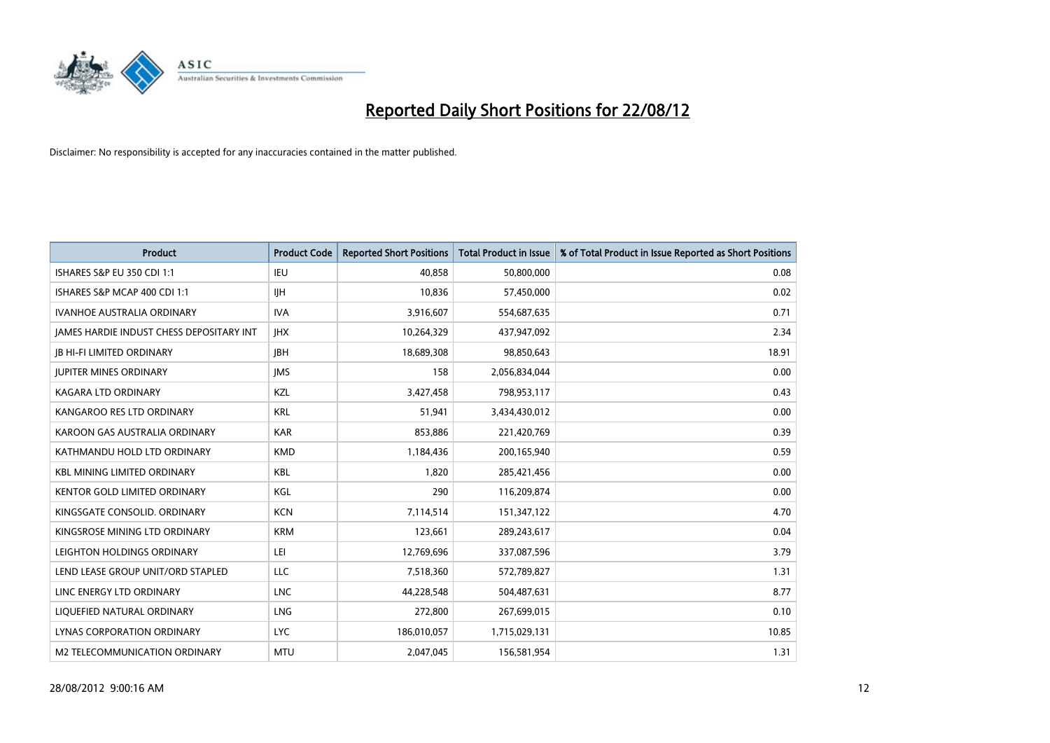

| <b>Product</b>                                  | <b>Product Code</b> | <b>Reported Short Positions</b> | <b>Total Product in Issue</b> | % of Total Product in Issue Reported as Short Positions |
|-------------------------------------------------|---------------------|---------------------------------|-------------------------------|---------------------------------------------------------|
| <b>ISHARES S&amp;P EU 350 CDI 1:1</b>           | IEU                 | 40.858                          | 50,800,000                    | 0.08                                                    |
| ISHARES S&P MCAP 400 CDI 1:1                    | <b>IIH</b>          | 10,836                          | 57,450,000                    | 0.02                                                    |
| <b>IVANHOE AUSTRALIA ORDINARY</b>               | <b>IVA</b>          | 3,916,607                       | 554,687,635                   | 0.71                                                    |
| <b>JAMES HARDIE INDUST CHESS DEPOSITARY INT</b> | <b>IHX</b>          | 10,264,329                      | 437,947,092                   | 2.34                                                    |
| <b>IB HI-FI LIMITED ORDINARY</b>                | <b>IBH</b>          | 18,689,308                      | 98,850,643                    | 18.91                                                   |
| <b>JUPITER MINES ORDINARY</b>                   | <b>IMS</b>          | 158                             | 2,056,834,044                 | 0.00                                                    |
| <b>KAGARA LTD ORDINARY</b>                      | <b>KZL</b>          | 3,427,458                       | 798,953,117                   | 0.43                                                    |
| KANGAROO RES LTD ORDINARY                       | <b>KRL</b>          | 51,941                          | 3,434,430,012                 | 0.00                                                    |
| KAROON GAS AUSTRALIA ORDINARY                   | <b>KAR</b>          | 853,886                         | 221,420,769                   | 0.39                                                    |
| KATHMANDU HOLD LTD ORDINARY                     | <b>KMD</b>          | 1,184,436                       | 200,165,940                   | 0.59                                                    |
| <b>KBL MINING LIMITED ORDINARY</b>              | <b>KBL</b>          | 1,820                           | 285,421,456                   | 0.00                                                    |
| <b>KENTOR GOLD LIMITED ORDINARY</b>             | KGL                 | 290                             | 116,209,874                   | 0.00                                                    |
| KINGSGATE CONSOLID. ORDINARY                    | <b>KCN</b>          | 7,114,514                       | 151,347,122                   | 4.70                                                    |
| KINGSROSE MINING LTD ORDINARY                   | <b>KRM</b>          | 123,661                         | 289,243,617                   | 0.04                                                    |
| LEIGHTON HOLDINGS ORDINARY                      | LEI                 | 12,769,696                      | 337,087,596                   | 3.79                                                    |
| LEND LEASE GROUP UNIT/ORD STAPLED               | LLC                 | 7,518,360                       | 572,789,827                   | 1.31                                                    |
| LINC ENERGY LTD ORDINARY                        | <b>LNC</b>          | 44,228,548                      | 504,487,631                   | 8.77                                                    |
| LIQUEFIED NATURAL ORDINARY                      | <b>LNG</b>          | 272,800                         | 267,699,015                   | 0.10                                                    |
| <b>LYNAS CORPORATION ORDINARY</b>               | <b>LYC</b>          | 186,010,057                     | 1,715,029,131                 | 10.85                                                   |
| M2 TELECOMMUNICATION ORDINARY                   | <b>MTU</b>          | 2,047,045                       | 156,581,954                   | 1.31                                                    |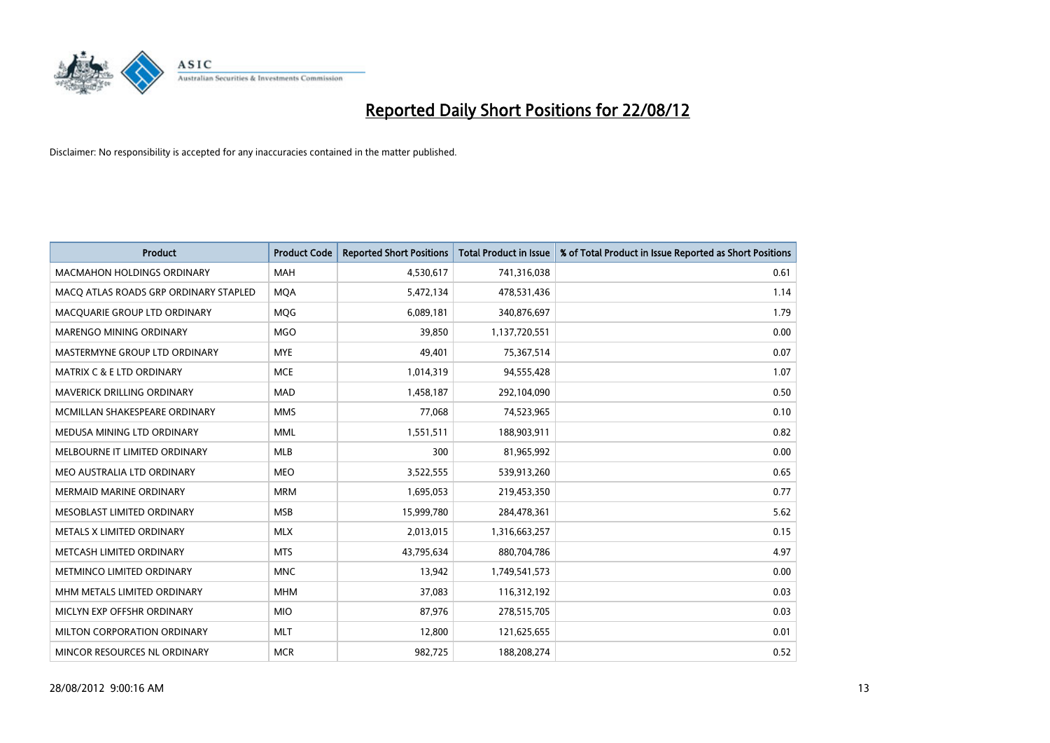

| <b>Product</b>                        | <b>Product Code</b> | <b>Reported Short Positions</b> | <b>Total Product in Issue</b> | % of Total Product in Issue Reported as Short Positions |
|---------------------------------------|---------------------|---------------------------------|-------------------------------|---------------------------------------------------------|
| <b>MACMAHON HOLDINGS ORDINARY</b>     | <b>MAH</b>          | 4,530,617                       | 741,316,038                   | 0.61                                                    |
| MACO ATLAS ROADS GRP ORDINARY STAPLED | <b>MQA</b>          | 5,472,134                       | 478,531,436                   | 1.14                                                    |
| MACOUARIE GROUP LTD ORDINARY          | <b>MOG</b>          | 6,089,181                       | 340,876,697                   | 1.79                                                    |
| MARENGO MINING ORDINARY               | <b>MGO</b>          | 39,850                          | 1,137,720,551                 | 0.00                                                    |
| MASTERMYNE GROUP LTD ORDINARY         | <b>MYE</b>          | 49,401                          | 75,367,514                    | 0.07                                                    |
| <b>MATRIX C &amp; E LTD ORDINARY</b>  | <b>MCE</b>          | 1,014,319                       | 94,555,428                    | 1.07                                                    |
| <b>MAVERICK DRILLING ORDINARY</b>     | <b>MAD</b>          | 1,458,187                       | 292,104,090                   | 0.50                                                    |
| MCMILLAN SHAKESPEARE ORDINARY         | <b>MMS</b>          | 77,068                          | 74,523,965                    | 0.10                                                    |
| MEDUSA MINING LTD ORDINARY            | <b>MML</b>          | 1,551,511                       | 188,903,911                   | 0.82                                                    |
| MELBOURNE IT LIMITED ORDINARY         | <b>MLB</b>          | 300                             | 81,965,992                    | 0.00                                                    |
| MEO AUSTRALIA LTD ORDINARY            | <b>MEO</b>          | 3,522,555                       | 539,913,260                   | 0.65                                                    |
| <b>MERMAID MARINE ORDINARY</b>        | <b>MRM</b>          | 1,695,053                       | 219,453,350                   | 0.77                                                    |
| MESOBLAST LIMITED ORDINARY            | <b>MSB</b>          | 15,999,780                      | 284,478,361                   | 5.62                                                    |
| METALS X LIMITED ORDINARY             | <b>MLX</b>          | 2,013,015                       | 1,316,663,257                 | 0.15                                                    |
| METCASH LIMITED ORDINARY              | <b>MTS</b>          | 43,795,634                      | 880,704,786                   | 4.97                                                    |
| METMINCO LIMITED ORDINARY             | <b>MNC</b>          | 13,942                          | 1,749,541,573                 | 0.00                                                    |
| MHM METALS LIMITED ORDINARY           | <b>MHM</b>          | 37,083                          | 116,312,192                   | 0.03                                                    |
| MICLYN EXP OFFSHR ORDINARY            | <b>MIO</b>          | 87,976                          | 278,515,705                   | 0.03                                                    |
| MILTON CORPORATION ORDINARY           | <b>MLT</b>          | 12,800                          | 121,625,655                   | 0.01                                                    |
| MINCOR RESOURCES NL ORDINARY          | <b>MCR</b>          | 982,725                         | 188,208,274                   | 0.52                                                    |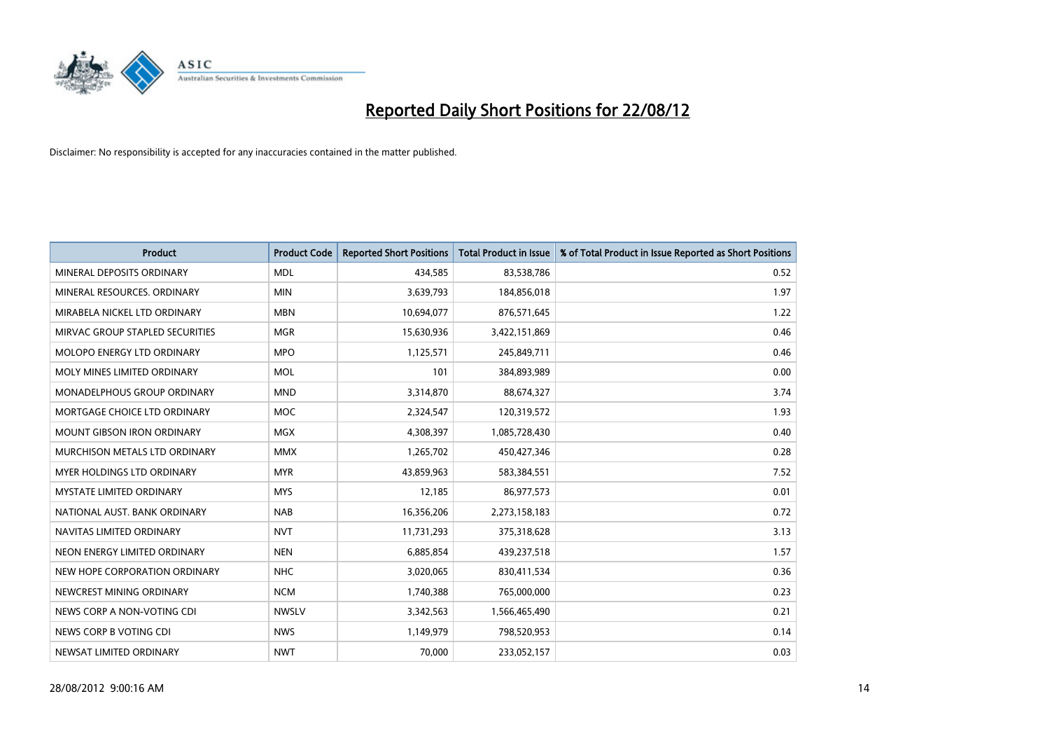

| <b>Product</b>                       | <b>Product Code</b> | <b>Reported Short Positions</b> | <b>Total Product in Issue</b> | % of Total Product in Issue Reported as Short Positions |
|--------------------------------------|---------------------|---------------------------------|-------------------------------|---------------------------------------------------------|
| MINERAL DEPOSITS ORDINARY            | <b>MDL</b>          | 434,585                         | 83,538,786                    | 0.52                                                    |
| MINERAL RESOURCES, ORDINARY          | <b>MIN</b>          | 3,639,793                       | 184,856,018                   | 1.97                                                    |
| MIRABELA NICKEL LTD ORDINARY         | <b>MBN</b>          | 10,694,077                      | 876,571,645                   | 1.22                                                    |
| MIRVAC GROUP STAPLED SECURITIES      | <b>MGR</b>          | 15,630,936                      | 3,422,151,869                 | 0.46                                                    |
| MOLOPO ENERGY LTD ORDINARY           | <b>MPO</b>          | 1,125,571                       | 245,849,711                   | 0.46                                                    |
| MOLY MINES LIMITED ORDINARY          | <b>MOL</b>          | 101                             | 384,893,989                   | 0.00                                                    |
| <b>MONADELPHOUS GROUP ORDINARY</b>   | <b>MND</b>          | 3,314,870                       | 88,674,327                    | 3.74                                                    |
| MORTGAGE CHOICE LTD ORDINARY         | <b>MOC</b>          | 2,324,547                       | 120,319,572                   | 1.93                                                    |
| MOUNT GIBSON IRON ORDINARY           | <b>MGX</b>          | 4,308,397                       | 1,085,728,430                 | 0.40                                                    |
| <b>MURCHISON METALS LTD ORDINARY</b> | <b>MMX</b>          | 1,265,702                       | 450,427,346                   | 0.28                                                    |
| <b>MYER HOLDINGS LTD ORDINARY</b>    | <b>MYR</b>          | 43,859,963                      | 583,384,551                   | 7.52                                                    |
| MYSTATE LIMITED ORDINARY             | <b>MYS</b>          | 12,185                          | 86,977,573                    | 0.01                                                    |
| NATIONAL AUST. BANK ORDINARY         | <b>NAB</b>          | 16,356,206                      | 2,273,158,183                 | 0.72                                                    |
| NAVITAS LIMITED ORDINARY             | <b>NVT</b>          | 11,731,293                      | 375,318,628                   | 3.13                                                    |
| NEON ENERGY LIMITED ORDINARY         | <b>NEN</b>          | 6,885,854                       | 439,237,518                   | 1.57                                                    |
| NEW HOPE CORPORATION ORDINARY        | <b>NHC</b>          | 3,020,065                       | 830,411,534                   | 0.36                                                    |
| NEWCREST MINING ORDINARY             | <b>NCM</b>          | 1,740,388                       | 765,000,000                   | 0.23                                                    |
| NEWS CORP A NON-VOTING CDI           | <b>NWSLV</b>        | 3,342,563                       | 1,566,465,490                 | 0.21                                                    |
| NEWS CORP B VOTING CDI               | <b>NWS</b>          | 1,149,979                       | 798,520,953                   | 0.14                                                    |
| NEWSAT LIMITED ORDINARY              | <b>NWT</b>          | 70,000                          | 233,052,157                   | 0.03                                                    |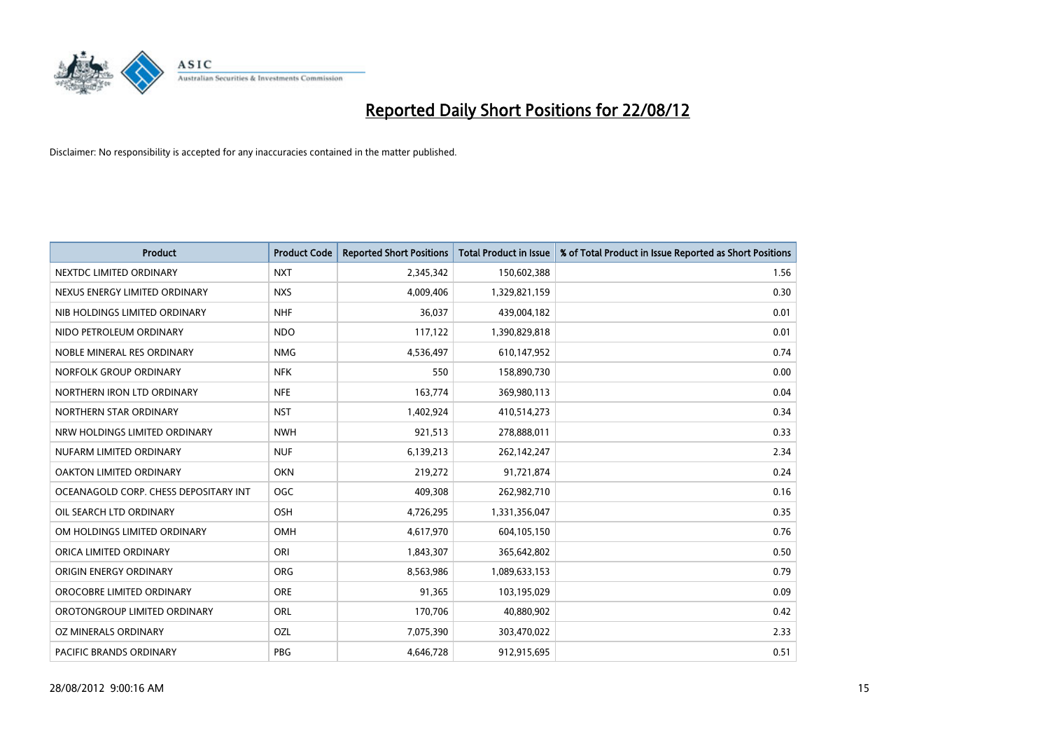

| <b>Product</b>                        | <b>Product Code</b> | <b>Reported Short Positions</b> | <b>Total Product in Issue</b> | % of Total Product in Issue Reported as Short Positions |
|---------------------------------------|---------------------|---------------------------------|-------------------------------|---------------------------------------------------------|
| NEXTDC LIMITED ORDINARY               | <b>NXT</b>          | 2,345,342                       | 150,602,388                   | 1.56                                                    |
| NEXUS ENERGY LIMITED ORDINARY         | <b>NXS</b>          | 4,009,406                       | 1,329,821,159                 | 0.30                                                    |
| NIB HOLDINGS LIMITED ORDINARY         | <b>NHF</b>          | 36,037                          | 439,004,182                   | 0.01                                                    |
| NIDO PETROLEUM ORDINARY               | <b>NDO</b>          | 117,122                         | 1,390,829,818                 | 0.01                                                    |
| NOBLE MINERAL RES ORDINARY            | <b>NMG</b>          | 4,536,497                       | 610,147,952                   | 0.74                                                    |
| NORFOLK GROUP ORDINARY                | <b>NFK</b>          | 550                             | 158,890,730                   | 0.00                                                    |
| NORTHERN IRON LTD ORDINARY            | <b>NFE</b>          | 163.774                         | 369,980,113                   | 0.04                                                    |
| NORTHERN STAR ORDINARY                | <b>NST</b>          | 1,402,924                       | 410,514,273                   | 0.34                                                    |
| NRW HOLDINGS LIMITED ORDINARY         | <b>NWH</b>          | 921,513                         | 278,888,011                   | 0.33                                                    |
| NUFARM LIMITED ORDINARY               | <b>NUF</b>          | 6,139,213                       | 262,142,247                   | 2.34                                                    |
| OAKTON LIMITED ORDINARY               | <b>OKN</b>          | 219,272                         | 91,721,874                    | 0.24                                                    |
| OCEANAGOLD CORP. CHESS DEPOSITARY INT | <b>OGC</b>          | 409,308                         | 262,982,710                   | 0.16                                                    |
| OIL SEARCH LTD ORDINARY               | OSH                 | 4,726,295                       | 1,331,356,047                 | 0.35                                                    |
| OM HOLDINGS LIMITED ORDINARY          | OMH                 | 4,617,970                       | 604,105,150                   | 0.76                                                    |
| ORICA LIMITED ORDINARY                | ORI                 | 1,843,307                       | 365,642,802                   | 0.50                                                    |
| ORIGIN ENERGY ORDINARY                | <b>ORG</b>          | 8,563,986                       | 1,089,633,153                 | 0.79                                                    |
| OROCOBRE LIMITED ORDINARY             | <b>ORE</b>          | 91,365                          | 103,195,029                   | 0.09                                                    |
| OROTONGROUP LIMITED ORDINARY          | <b>ORL</b>          | 170,706                         | 40,880,902                    | 0.42                                                    |
| OZ MINERALS ORDINARY                  | OZL                 | 7,075,390                       | 303,470,022                   | 2.33                                                    |
| PACIFIC BRANDS ORDINARY               | PBG                 | 4.646.728                       | 912,915,695                   | 0.51                                                    |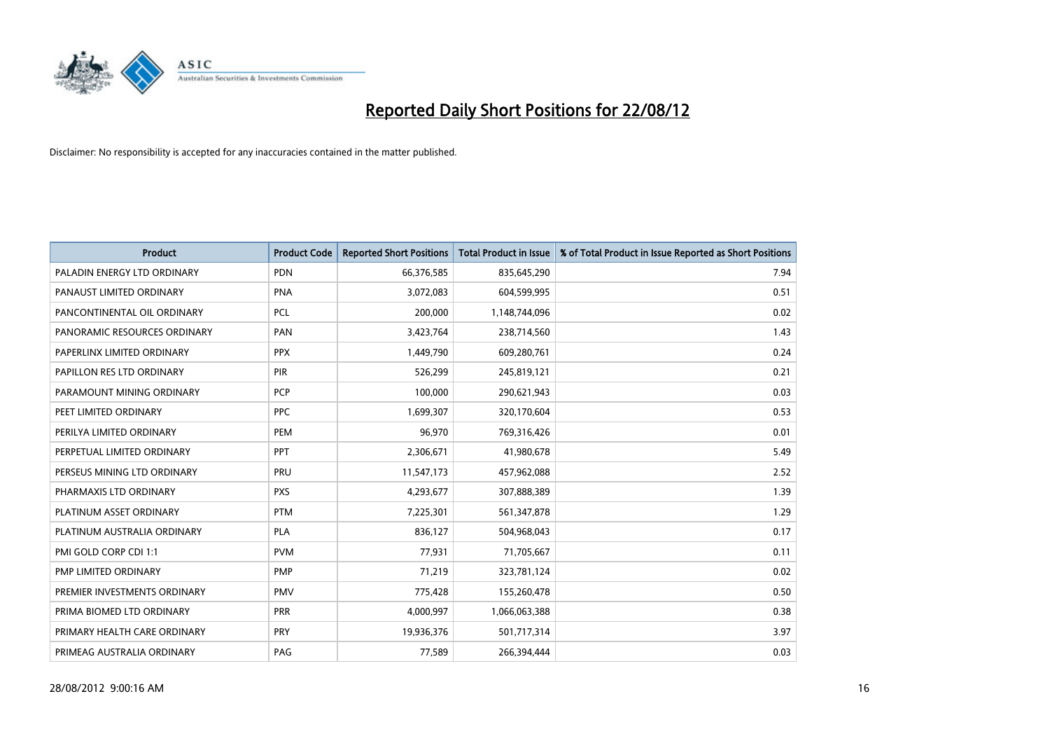

| <b>Product</b>               | <b>Product Code</b> | <b>Reported Short Positions</b> | <b>Total Product in Issue</b> | % of Total Product in Issue Reported as Short Positions |
|------------------------------|---------------------|---------------------------------|-------------------------------|---------------------------------------------------------|
| PALADIN ENERGY LTD ORDINARY  | <b>PDN</b>          | 66,376,585                      | 835,645,290                   | 7.94                                                    |
| PANAUST LIMITED ORDINARY     | <b>PNA</b>          | 3,072,083                       | 604,599,995                   | 0.51                                                    |
| PANCONTINENTAL OIL ORDINARY  | <b>PCL</b>          | 200,000                         | 1,148,744,096                 | 0.02                                                    |
| PANORAMIC RESOURCES ORDINARY | PAN                 | 3,423,764                       | 238,714,560                   | 1.43                                                    |
| PAPERLINX LIMITED ORDINARY   | <b>PPX</b>          | 1,449,790                       | 609,280,761                   | 0.24                                                    |
| PAPILLON RES LTD ORDINARY    | PIR                 | 526,299                         | 245,819,121                   | 0.21                                                    |
| PARAMOUNT MINING ORDINARY    | <b>PCP</b>          | 100,000                         | 290,621,943                   | 0.03                                                    |
| PEET LIMITED ORDINARY        | <b>PPC</b>          | 1,699,307                       | 320,170,604                   | 0.53                                                    |
| PERILYA LIMITED ORDINARY     | PEM                 | 96,970                          | 769,316,426                   | 0.01                                                    |
| PERPETUAL LIMITED ORDINARY   | PPT                 | 2,306,671                       | 41,980,678                    | 5.49                                                    |
| PERSEUS MINING LTD ORDINARY  | PRU                 | 11,547,173                      | 457,962,088                   | 2.52                                                    |
| PHARMAXIS LTD ORDINARY       | <b>PXS</b>          | 4,293,677                       | 307,888,389                   | 1.39                                                    |
| PLATINUM ASSET ORDINARY      | <b>PTM</b>          | 7,225,301                       | 561,347,878                   | 1.29                                                    |
| PLATINUM AUSTRALIA ORDINARY  | <b>PLA</b>          | 836,127                         | 504,968,043                   | 0.17                                                    |
| PMI GOLD CORP CDI 1:1        | <b>PVM</b>          | 77,931                          | 71,705,667                    | 0.11                                                    |
| PMP LIMITED ORDINARY         | <b>PMP</b>          | 71,219                          | 323,781,124                   | 0.02                                                    |
| PREMIER INVESTMENTS ORDINARY | <b>PMV</b>          | 775,428                         | 155,260,478                   | 0.50                                                    |
| PRIMA BIOMED LTD ORDINARY    | <b>PRR</b>          | 4,000,997                       | 1,066,063,388                 | 0.38                                                    |
| PRIMARY HEALTH CARE ORDINARY | <b>PRY</b>          | 19,936,376                      | 501,717,314                   | 3.97                                                    |
| PRIMEAG AUSTRALIA ORDINARY   | PAG                 | 77,589                          | 266,394,444                   | 0.03                                                    |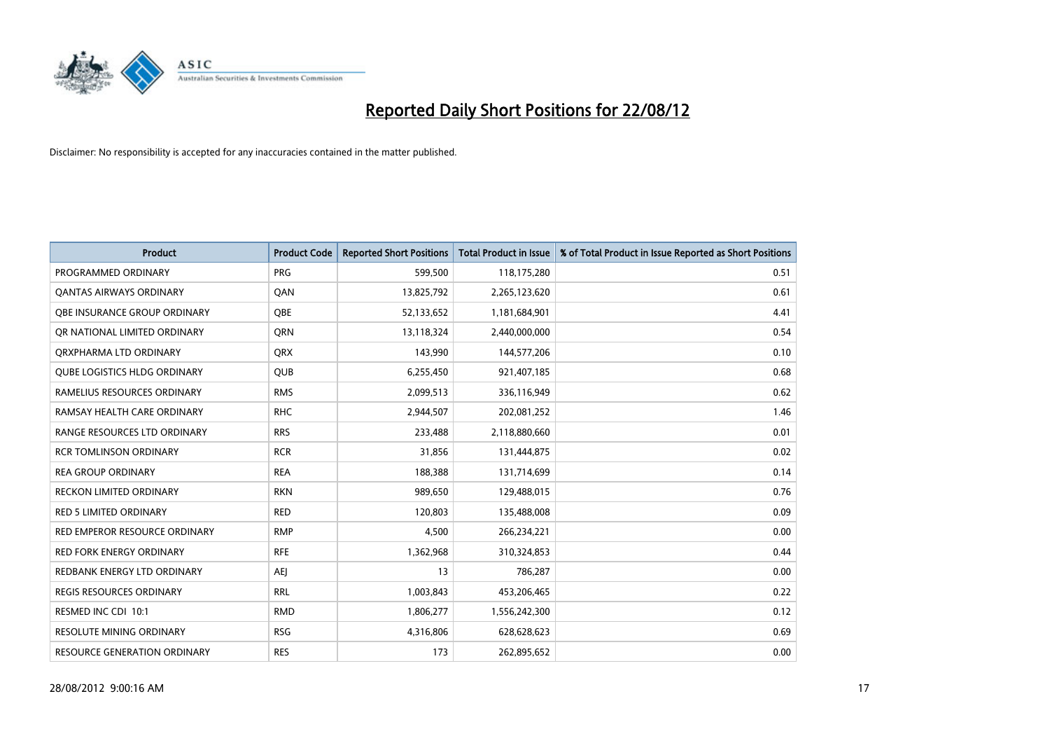

| <b>Product</b>                      | <b>Product Code</b> | <b>Reported Short Positions</b> | <b>Total Product in Issue</b> | % of Total Product in Issue Reported as Short Positions |
|-------------------------------------|---------------------|---------------------------------|-------------------------------|---------------------------------------------------------|
| PROGRAMMED ORDINARY                 | <b>PRG</b>          | 599,500                         | 118,175,280                   | 0.51                                                    |
| <b>QANTAS AIRWAYS ORDINARY</b>      | QAN                 | 13,825,792                      | 2,265,123,620                 | 0.61                                                    |
| OBE INSURANCE GROUP ORDINARY        | <b>OBE</b>          | 52,133,652                      | 1,181,684,901                 | 4.41                                                    |
| OR NATIONAL LIMITED ORDINARY        | <b>ORN</b>          | 13,118,324                      | 2,440,000,000                 | 0.54                                                    |
| ORXPHARMA LTD ORDINARY              | <b>QRX</b>          | 143,990                         | 144,577,206                   | 0.10                                                    |
| <b>OUBE LOGISTICS HLDG ORDINARY</b> | <b>QUB</b>          | 6,255,450                       | 921,407,185                   | 0.68                                                    |
| RAMELIUS RESOURCES ORDINARY         | <b>RMS</b>          | 2,099,513                       | 336,116,949                   | 0.62                                                    |
| RAMSAY HEALTH CARE ORDINARY         | <b>RHC</b>          | 2,944,507                       | 202,081,252                   | 1.46                                                    |
| RANGE RESOURCES LTD ORDINARY        | <b>RRS</b>          | 233,488                         | 2,118,880,660                 | 0.01                                                    |
| <b>RCR TOMLINSON ORDINARY</b>       | <b>RCR</b>          | 31,856                          | 131,444,875                   | 0.02                                                    |
| <b>REA GROUP ORDINARY</b>           | <b>REA</b>          | 188,388                         | 131,714,699                   | 0.14                                                    |
| <b>RECKON LIMITED ORDINARY</b>      | <b>RKN</b>          | 989,650                         | 129,488,015                   | 0.76                                                    |
| RED 5 LIMITED ORDINARY              | <b>RED</b>          | 120,803                         | 135,488,008                   | 0.09                                                    |
| RED EMPEROR RESOURCE ORDINARY       | <b>RMP</b>          | 4,500                           | 266,234,221                   | 0.00                                                    |
| <b>RED FORK ENERGY ORDINARY</b>     | <b>RFE</b>          | 1,362,968                       | 310,324,853                   | 0.44                                                    |
| REDBANK ENERGY LTD ORDINARY         | AEI                 | 13                              | 786,287                       | 0.00                                                    |
| REGIS RESOURCES ORDINARY            | <b>RRL</b>          | 1,003,843                       | 453,206,465                   | 0.22                                                    |
| RESMED INC CDI 10:1                 | <b>RMD</b>          | 1,806,277                       | 1,556,242,300                 | 0.12                                                    |
| <b>RESOLUTE MINING ORDINARY</b>     | <b>RSG</b>          | 4,316,806                       | 628,628,623                   | 0.69                                                    |
| RESOURCE GENERATION ORDINARY        | <b>RES</b>          | 173                             | 262,895,652                   | 0.00                                                    |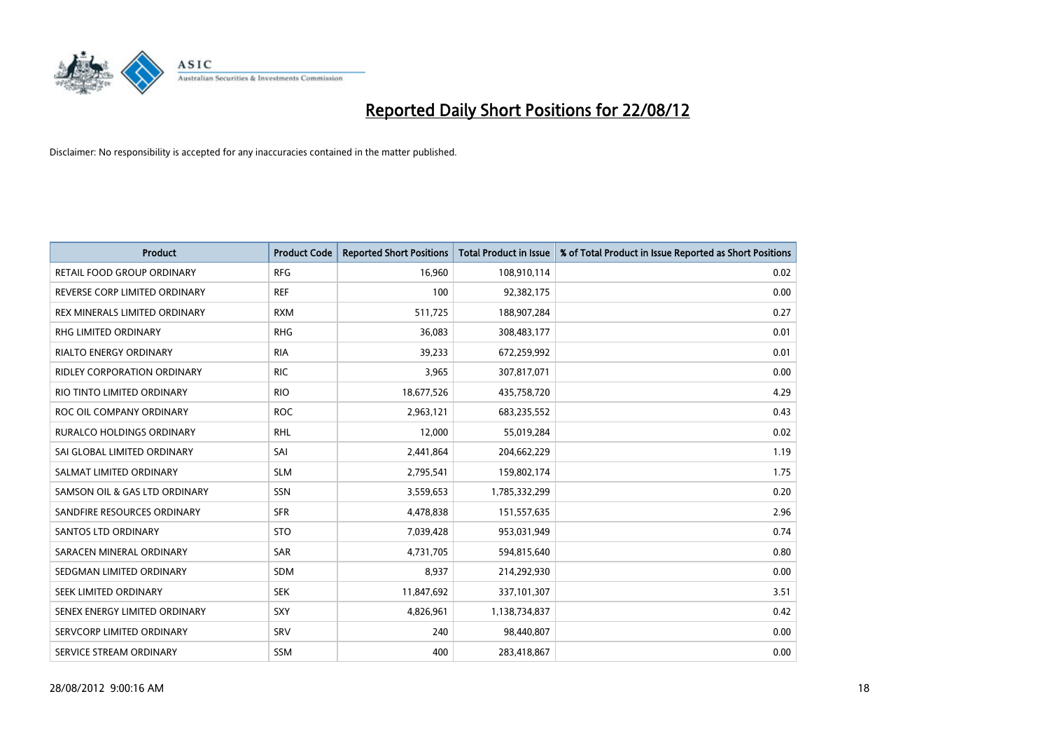

| <b>Product</b>                     | <b>Product Code</b> | <b>Reported Short Positions</b> | <b>Total Product in Issue</b> | % of Total Product in Issue Reported as Short Positions |
|------------------------------------|---------------------|---------------------------------|-------------------------------|---------------------------------------------------------|
| RETAIL FOOD GROUP ORDINARY         | <b>RFG</b>          | 16,960                          | 108,910,114                   | 0.02                                                    |
| REVERSE CORP LIMITED ORDINARY      | <b>REF</b>          | 100                             | 92,382,175                    | 0.00                                                    |
| REX MINERALS LIMITED ORDINARY      | <b>RXM</b>          | 511,725                         | 188,907,284                   | 0.27                                                    |
| RHG LIMITED ORDINARY               | <b>RHG</b>          | 36,083                          | 308,483,177                   | 0.01                                                    |
| <b>RIALTO ENERGY ORDINARY</b>      | <b>RIA</b>          | 39,233                          | 672,259,992                   | 0.01                                                    |
| <b>RIDLEY CORPORATION ORDINARY</b> | <b>RIC</b>          | 3,965                           | 307,817,071                   | 0.00                                                    |
| RIO TINTO LIMITED ORDINARY         | <b>RIO</b>          | 18,677,526                      | 435,758,720                   | 4.29                                                    |
| ROC OIL COMPANY ORDINARY           | <b>ROC</b>          | 2,963,121                       | 683,235,552                   | 0.43                                                    |
| RURALCO HOLDINGS ORDINARY          | <b>RHL</b>          | 12,000                          | 55,019,284                    | 0.02                                                    |
| SAI GLOBAL LIMITED ORDINARY        | SAI                 | 2,441,864                       | 204,662,229                   | 1.19                                                    |
| SALMAT LIMITED ORDINARY            | <b>SLM</b>          | 2,795,541                       | 159,802,174                   | 1.75                                                    |
| SAMSON OIL & GAS LTD ORDINARY      | SSN                 | 3,559,653                       | 1,785,332,299                 | 0.20                                                    |
| SANDFIRE RESOURCES ORDINARY        | <b>SFR</b>          | 4,478,838                       | 151,557,635                   | 2.96                                                    |
| <b>SANTOS LTD ORDINARY</b>         | <b>STO</b>          | 7,039,428                       | 953,031,949                   | 0.74                                                    |
| SARACEN MINERAL ORDINARY           | <b>SAR</b>          | 4,731,705                       | 594,815,640                   | 0.80                                                    |
| SEDGMAN LIMITED ORDINARY           | SDM                 | 8,937                           | 214,292,930                   | 0.00                                                    |
| <b>SEEK LIMITED ORDINARY</b>       | <b>SEK</b>          | 11,847,692                      | 337,101,307                   | 3.51                                                    |
| SENEX ENERGY LIMITED ORDINARY      | <b>SXY</b>          | 4,826,961                       | 1,138,734,837                 | 0.42                                                    |
| SERVCORP LIMITED ORDINARY          | SRV                 | 240                             | 98,440,807                    | 0.00                                                    |
| SERVICE STREAM ORDINARY            | <b>SSM</b>          | 400                             | 283,418,867                   | 0.00                                                    |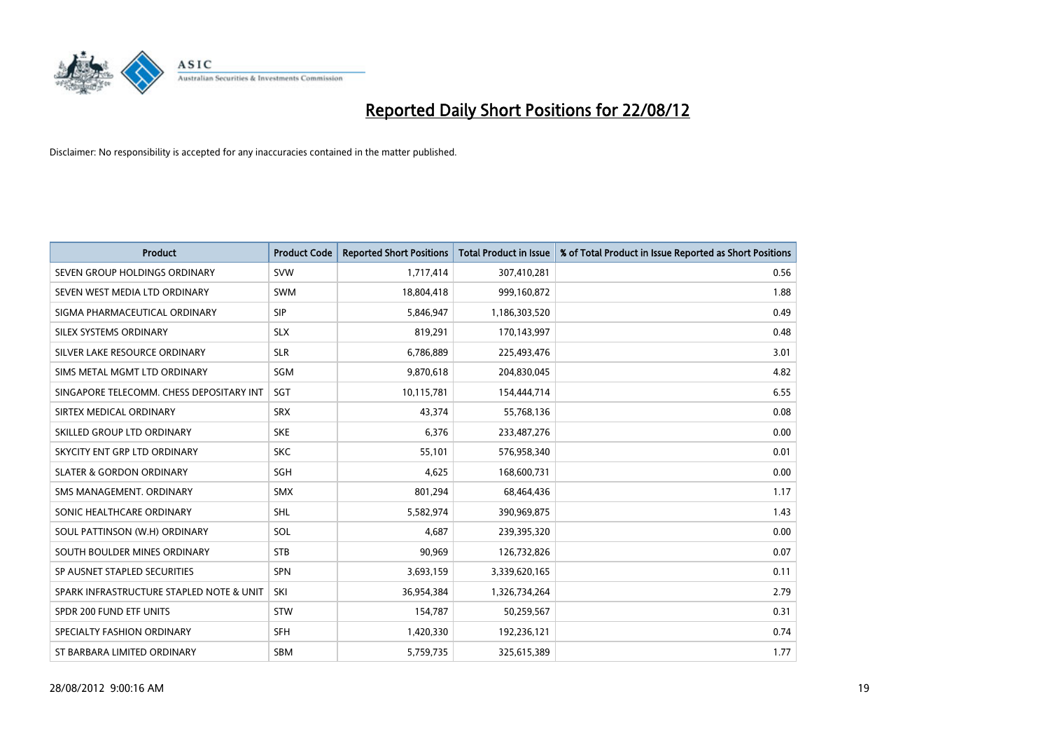

| <b>Product</b>                           | <b>Product Code</b> | <b>Reported Short Positions</b> | <b>Total Product in Issue</b> | % of Total Product in Issue Reported as Short Positions |
|------------------------------------------|---------------------|---------------------------------|-------------------------------|---------------------------------------------------------|
| SEVEN GROUP HOLDINGS ORDINARY            | <b>SVW</b>          | 1,717,414                       | 307,410,281                   | 0.56                                                    |
| SEVEN WEST MEDIA LTD ORDINARY            | <b>SWM</b>          | 18,804,418                      | 999,160,872                   | 1.88                                                    |
| SIGMA PHARMACEUTICAL ORDINARY            | <b>SIP</b>          | 5,846,947                       | 1,186,303,520                 | 0.49                                                    |
| SILEX SYSTEMS ORDINARY                   | <b>SLX</b>          | 819,291                         | 170,143,997                   | 0.48                                                    |
| SILVER LAKE RESOURCE ORDINARY            | <b>SLR</b>          | 6,786,889                       | 225,493,476                   | 3.01                                                    |
| SIMS METAL MGMT LTD ORDINARY             | SGM                 | 9,870,618                       | 204,830,045                   | 4.82                                                    |
| SINGAPORE TELECOMM. CHESS DEPOSITARY INT | <b>SGT</b>          | 10,115,781                      | 154,444,714                   | 6.55                                                    |
| SIRTEX MEDICAL ORDINARY                  | <b>SRX</b>          | 43,374                          | 55,768,136                    | 0.08                                                    |
| SKILLED GROUP LTD ORDINARY               | <b>SKE</b>          | 6,376                           | 233,487,276                   | 0.00                                                    |
| SKYCITY ENT GRP LTD ORDINARY             | <b>SKC</b>          | 55,101                          | 576,958,340                   | 0.01                                                    |
| <b>SLATER &amp; GORDON ORDINARY</b>      | <b>SGH</b>          | 4,625                           | 168,600,731                   | 0.00                                                    |
| SMS MANAGEMENT, ORDINARY                 | <b>SMX</b>          | 801,294                         | 68,464,436                    | 1.17                                                    |
| SONIC HEALTHCARE ORDINARY                | <b>SHL</b>          | 5,582,974                       | 390,969,875                   | 1.43                                                    |
| SOUL PATTINSON (W.H) ORDINARY            | SOL                 | 4.687                           | 239,395,320                   | 0.00                                                    |
| SOUTH BOULDER MINES ORDINARY             | <b>STB</b>          | 90,969                          | 126,732,826                   | 0.07                                                    |
| SP AUSNET STAPLED SECURITIES             | <b>SPN</b>          | 3,693,159                       | 3,339,620,165                 | 0.11                                                    |
| SPARK INFRASTRUCTURE STAPLED NOTE & UNIT | SKI                 | 36,954,384                      | 1,326,734,264                 | 2.79                                                    |
| SPDR 200 FUND ETF UNITS                  | <b>STW</b>          | 154,787                         | 50,259,567                    | 0.31                                                    |
| SPECIALTY FASHION ORDINARY               | <b>SFH</b>          | 1,420,330                       | 192,236,121                   | 0.74                                                    |
| ST BARBARA LIMITED ORDINARY              | <b>SBM</b>          | 5,759,735                       | 325,615,389                   | 1.77                                                    |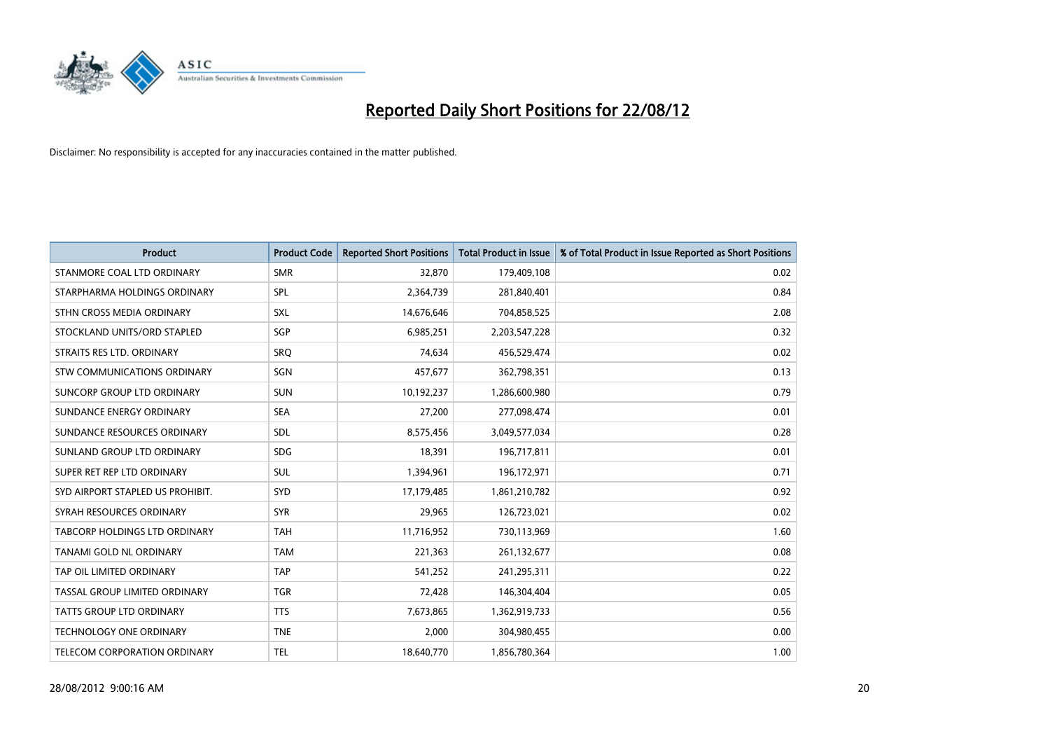

| <b>Product</b>                       | <b>Product Code</b> | <b>Reported Short Positions</b> | <b>Total Product in Issue</b> | % of Total Product in Issue Reported as Short Positions |
|--------------------------------------|---------------------|---------------------------------|-------------------------------|---------------------------------------------------------|
| STANMORE COAL LTD ORDINARY           | <b>SMR</b>          | 32,870                          | 179,409,108                   | 0.02                                                    |
| STARPHARMA HOLDINGS ORDINARY         | <b>SPL</b>          | 2,364,739                       | 281,840,401                   | 0.84                                                    |
| STHN CROSS MEDIA ORDINARY            | <b>SXL</b>          | 14,676,646                      | 704,858,525                   | 2.08                                                    |
| STOCKLAND UNITS/ORD STAPLED          | SGP                 | 6,985,251                       | 2,203,547,228                 | 0.32                                                    |
| STRAITS RES LTD. ORDINARY            | SRO                 | 74,634                          | 456,529,474                   | 0.02                                                    |
| <b>STW COMMUNICATIONS ORDINARY</b>   | SGN                 | 457,677                         | 362,798,351                   | 0.13                                                    |
| SUNCORP GROUP LTD ORDINARY           | <b>SUN</b>          | 10,192,237                      | 1,286,600,980                 | 0.79                                                    |
| SUNDANCE ENERGY ORDINARY             | <b>SEA</b>          | 27,200                          | 277,098,474                   | 0.01                                                    |
| SUNDANCE RESOURCES ORDINARY          | <b>SDL</b>          | 8,575,456                       | 3,049,577,034                 | 0.28                                                    |
| SUNLAND GROUP LTD ORDINARY           | <b>SDG</b>          | 18,391                          | 196,717,811                   | 0.01                                                    |
| SUPER RET REP LTD ORDINARY           | SUL                 | 1,394,961                       | 196,172,971                   | 0.71                                                    |
| SYD AIRPORT STAPLED US PROHIBIT.     | <b>SYD</b>          | 17,179,485                      | 1,861,210,782                 | 0.92                                                    |
| SYRAH RESOURCES ORDINARY             | <b>SYR</b>          | 29,965                          | 126,723,021                   | 0.02                                                    |
| <b>TABCORP HOLDINGS LTD ORDINARY</b> | <b>TAH</b>          | 11,716,952                      | 730,113,969                   | 1.60                                                    |
| TANAMI GOLD NL ORDINARY              | <b>TAM</b>          | 221,363                         | 261,132,677                   | 0.08                                                    |
| TAP OIL LIMITED ORDINARY             | <b>TAP</b>          | 541,252                         | 241,295,311                   | 0.22                                                    |
| TASSAL GROUP LIMITED ORDINARY        | <b>TGR</b>          | 72,428                          | 146,304,404                   | 0.05                                                    |
| TATTS GROUP LTD ORDINARY             | <b>TTS</b>          | 7,673,865                       | 1,362,919,733                 | 0.56                                                    |
| <b>TECHNOLOGY ONE ORDINARY</b>       | <b>TNE</b>          | 2,000                           | 304,980,455                   | 0.00                                                    |
| TELECOM CORPORATION ORDINARY         | <b>TEL</b>          | 18,640,770                      | 1,856,780,364                 | 1.00                                                    |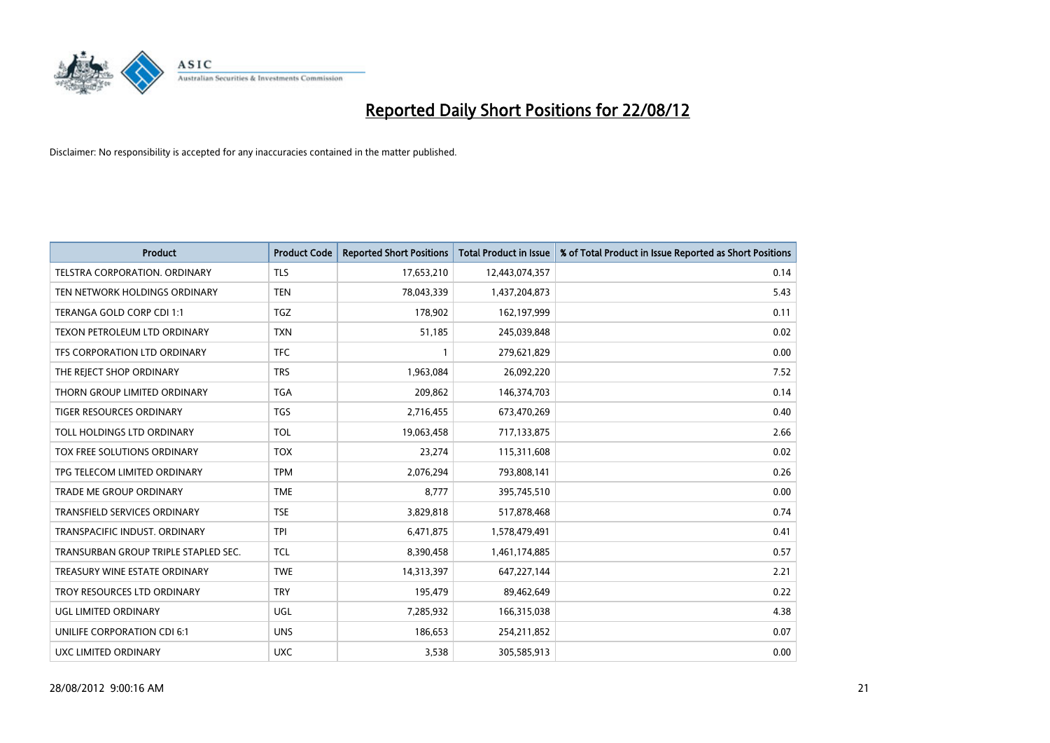

| <b>Product</b>                       | <b>Product Code</b> | <b>Reported Short Positions</b> | <b>Total Product in Issue</b> | % of Total Product in Issue Reported as Short Positions |
|--------------------------------------|---------------------|---------------------------------|-------------------------------|---------------------------------------------------------|
| <b>TELSTRA CORPORATION, ORDINARY</b> | <b>TLS</b>          | 17,653,210                      | 12,443,074,357                | 0.14                                                    |
| TEN NETWORK HOLDINGS ORDINARY        | <b>TEN</b>          | 78,043,339                      | 1,437,204,873                 | 5.43                                                    |
| TERANGA GOLD CORP CDI 1:1            | <b>TGZ</b>          | 178,902                         | 162,197,999                   | 0.11                                                    |
| TEXON PETROLEUM LTD ORDINARY         | <b>TXN</b>          | 51,185                          | 245,039,848                   | 0.02                                                    |
| TFS CORPORATION LTD ORDINARY         | <b>TFC</b>          |                                 | 279,621,829                   | 0.00                                                    |
| THE REJECT SHOP ORDINARY             | <b>TRS</b>          | 1,963,084                       | 26,092,220                    | 7.52                                                    |
| THORN GROUP LIMITED ORDINARY         | <b>TGA</b>          | 209.862                         | 146,374,703                   | 0.14                                                    |
| <b>TIGER RESOURCES ORDINARY</b>      | <b>TGS</b>          | 2,716,455                       | 673,470,269                   | 0.40                                                    |
| TOLL HOLDINGS LTD ORDINARY           | <b>TOL</b>          | 19,063,458                      | 717,133,875                   | 2.66                                                    |
| TOX FREE SOLUTIONS ORDINARY          | <b>TOX</b>          | 23,274                          | 115,311,608                   | 0.02                                                    |
| TPG TELECOM LIMITED ORDINARY         | <b>TPM</b>          | 2,076,294                       | 793,808,141                   | 0.26                                                    |
| <b>TRADE ME GROUP ORDINARY</b>       | <b>TME</b>          | 8,777                           | 395,745,510                   | 0.00                                                    |
| TRANSFIELD SERVICES ORDINARY         | <b>TSE</b>          | 3,829,818                       | 517,878,468                   | 0.74                                                    |
| TRANSPACIFIC INDUST, ORDINARY        | <b>TPI</b>          | 6,471,875                       | 1,578,479,491                 | 0.41                                                    |
| TRANSURBAN GROUP TRIPLE STAPLED SEC. | <b>TCL</b>          | 8,390,458                       | 1,461,174,885                 | 0.57                                                    |
| TREASURY WINE ESTATE ORDINARY        | <b>TWE</b>          | 14,313,397                      | 647,227,144                   | 2.21                                                    |
| TROY RESOURCES LTD ORDINARY          | <b>TRY</b>          | 195,479                         | 89,462,649                    | 0.22                                                    |
| UGL LIMITED ORDINARY                 | UGL                 | 7,285,932                       | 166,315,038                   | 4.38                                                    |
| UNILIFE CORPORATION CDI 6:1          | <b>UNS</b>          | 186,653                         | 254,211,852                   | 0.07                                                    |
| UXC LIMITED ORDINARY                 | <b>UXC</b>          | 3,538                           | 305,585,913                   | 0.00                                                    |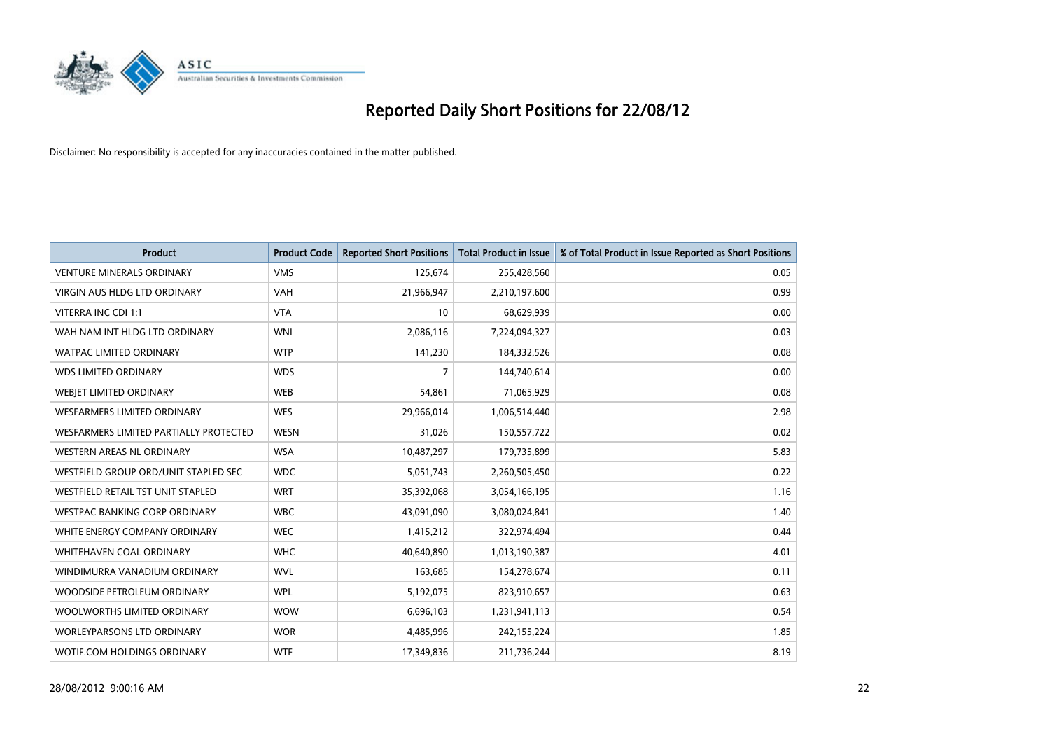

| <b>Product</b>                         | <b>Product Code</b> | <b>Reported Short Positions</b> | <b>Total Product in Issue</b> | % of Total Product in Issue Reported as Short Positions |
|----------------------------------------|---------------------|---------------------------------|-------------------------------|---------------------------------------------------------|
| <b>VENTURE MINERALS ORDINARY</b>       | <b>VMS</b>          | 125,674                         | 255,428,560                   | 0.05                                                    |
| <b>VIRGIN AUS HLDG LTD ORDINARY</b>    | <b>VAH</b>          | 21,966,947                      | 2,210,197,600                 | 0.99                                                    |
| VITERRA INC CDI 1:1                    | <b>VTA</b>          | 10                              | 68,629,939                    | 0.00                                                    |
| WAH NAM INT HLDG LTD ORDINARY          | <b>WNI</b>          | 2,086,116                       | 7,224,094,327                 | 0.03                                                    |
| <b>WATPAC LIMITED ORDINARY</b>         | <b>WTP</b>          | 141,230                         | 184,332,526                   | 0.08                                                    |
| <b>WDS LIMITED ORDINARY</b>            | <b>WDS</b>          | 7                               | 144,740,614                   | 0.00                                                    |
| WEBIET LIMITED ORDINARY                | <b>WEB</b>          | 54,861                          | 71,065,929                    | 0.08                                                    |
| <b>WESFARMERS LIMITED ORDINARY</b>     | <b>WES</b>          | 29,966,014                      | 1,006,514,440                 | 2.98                                                    |
| WESFARMERS LIMITED PARTIALLY PROTECTED | <b>WESN</b>         | 31,026                          | 150,557,722                   | 0.02                                                    |
| <b>WESTERN AREAS NL ORDINARY</b>       | <b>WSA</b>          | 10,487,297                      | 179,735,899                   | 5.83                                                    |
| WESTFIELD GROUP ORD/UNIT STAPLED SEC   | <b>WDC</b>          | 5,051,743                       | 2,260,505,450                 | 0.22                                                    |
| WESTFIELD RETAIL TST UNIT STAPLED      | <b>WRT</b>          | 35,392,068                      | 3,054,166,195                 | 1.16                                                    |
| WESTPAC BANKING CORP ORDINARY          | <b>WBC</b>          | 43,091,090                      | 3,080,024,841                 | 1.40                                                    |
| WHITE ENERGY COMPANY ORDINARY          | <b>WEC</b>          | 1,415,212                       | 322,974,494                   | 0.44                                                    |
| <b>WHITEHAVEN COAL ORDINARY</b>        | <b>WHC</b>          | 40,640,890                      | 1,013,190,387                 | 4.01                                                    |
| WINDIMURRA VANADIUM ORDINARY           | <b>WVL</b>          | 163,685                         | 154,278,674                   | 0.11                                                    |
| WOODSIDE PETROLEUM ORDINARY            | <b>WPL</b>          | 5,192,075                       | 823,910,657                   | 0.63                                                    |
| WOOLWORTHS LIMITED ORDINARY            | <b>WOW</b>          | 6,696,103                       | 1,231,941,113                 | 0.54                                                    |
| <b>WORLEYPARSONS LTD ORDINARY</b>      | <b>WOR</b>          | 4,485,996                       | 242,155,224                   | 1.85                                                    |
| WOTIF.COM HOLDINGS ORDINARY            | <b>WTF</b>          | 17,349,836                      | 211,736,244                   | 8.19                                                    |